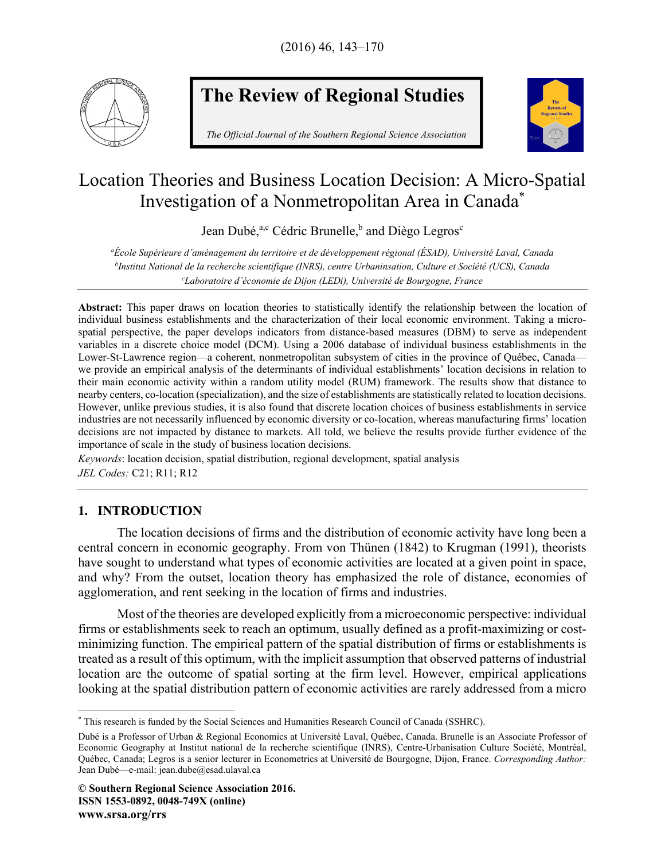

# **The Review of Regional Studies**

*The Official Journal of the Southern Regional Science Association* 



## Location Theories and Business Location Decision: A Micro-Spatial Investigation of a Nonmetropolitan Area in Canada\*

Jean Dubé,<sup>a,c</sup> Cédric Brunelle,<sup>b</sup> and Diègo Legros<sup>c</sup>

*aÉcole Supérieure d'aménagement du territoire et de développement régional (ÉSAD), Université Laval, Canada bInstitut National de la recherche scientifique (INRS), centre Urbaninsation, Culture et Société (UCS), Canada c Laboratoire d'économie de Dijon (LEDi), Université de Bourgogne, France* 

**Abstract:** This paper draws on location theories to statistically identify the relationship between the location of individual business establishments and the characterization of their local economic environment. Taking a microspatial perspective, the paper develops indicators from distance-based measures (DBM) to serve as independent variables in a discrete choice model (DCM). Using a 2006 database of individual business establishments in the Lower-St-Lawrence region—a coherent, nonmetropolitan subsystem of cities in the province of Québec, Canada we provide an empirical analysis of the determinants of individual establishments' location decisions in relation to their main economic activity within a random utility model (RUM) framework. The results show that distance to nearby centers, co-location (specialization), and the size of establishments are statistically related to location decisions. However, unlike previous studies, it is also found that discrete location choices of business establishments in service industries are not necessarily influenced by economic diversity or co-location, whereas manufacturing firms' location decisions are not impacted by distance to markets. All told, we believe the results provide further evidence of the importance of scale in the study of business location decisions.

*Keywords*: location decision, spatial distribution, regional development, spatial analysis *JEL Codes:* C21; R11; R12

## **1. INTRODUCTION**

The location decisions of firms and the distribution of economic activity have long been a central concern in economic geography. From von Thünen (1842) to Krugman (1991), theorists have sought to understand what types of economic activities are located at a given point in space, and why? From the outset, location theory has emphasized the role of distance, economies of agglomeration, and rent seeking in the location of firms and industries.

Most of the theories are developed explicitly from a microeconomic perspective: individual firms or establishments seek to reach an optimum, usually defined as a profit-maximizing or costminimizing function. The empirical pattern of the spatial distribution of firms or establishments is treated as a result of this optimum, with the implicit assumption that observed patterns of industrial location are the outcome of spatial sorting at the firm level. However, empirical applications looking at the spatial distribution pattern of economic activities are rarely addressed from a micro

 $\overline{a}$ \* This research is funded by the Social Sciences and Humanities Research Council of Canada (SSHRC).

Dubé is a Professor of Urban & Regional Economics at Université Laval, Québec, Canada. Brunelle is an Associate Professor of Economic Geography at Institut national de la recherche scientifique (INRS), Centre-Urbanisation Culture Société, Montréal, Québec, Canada; Legros is a senior lecturer in Econometrics at Université de Bourgogne, Dijon, France. *Corresponding Author:* Jean Dubé—e-mail: jean.dube@esad.ulaval.ca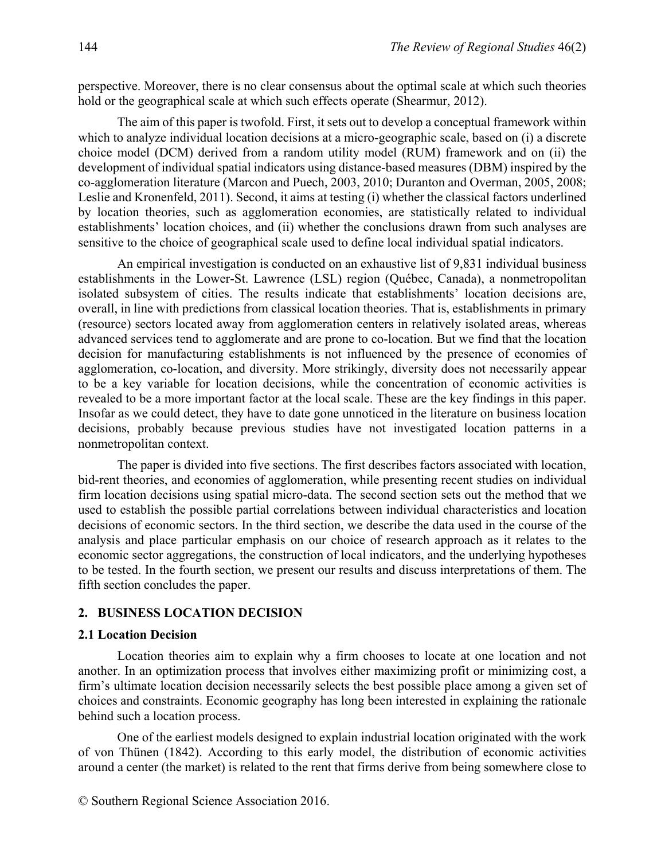perspective. Moreover, there is no clear consensus about the optimal scale at which such theories hold or the geographical scale at which such effects operate (Shearmur, 2012).

The aim of this paper is twofold. First, it sets out to develop a conceptual framework within which to analyze individual location decisions at a micro-geographic scale, based on (i) a discrete choice model (DCM) derived from a random utility model (RUM) framework and on (ii) the development of individual spatial indicators using distance-based measures (DBM) inspired by the co-agglomeration literature (Marcon and Puech, 2003, 2010; Duranton and Overman, 2005, 2008; Leslie and Kronenfeld, 2011). Second, it aims at testing (i) whether the classical factors underlined by location theories, such as agglomeration economies, are statistically related to individual establishments' location choices, and (ii) whether the conclusions drawn from such analyses are sensitive to the choice of geographical scale used to define local individual spatial indicators.

An empirical investigation is conducted on an exhaustive list of 9,831 individual business establishments in the Lower-St. Lawrence (LSL) region (Québec, Canada), a nonmetropolitan isolated subsystem of cities. The results indicate that establishments' location decisions are, overall, in line with predictions from classical location theories. That is, establishments in primary (resource) sectors located away from agglomeration centers in relatively isolated areas, whereas advanced services tend to agglomerate and are prone to co-location. But we find that the location decision for manufacturing establishments is not influenced by the presence of economies of agglomeration, co-location, and diversity. More strikingly, diversity does not necessarily appear to be a key variable for location decisions, while the concentration of economic activities is revealed to be a more important factor at the local scale. These are the key findings in this paper. Insofar as we could detect, they have to date gone unnoticed in the literature on business location decisions, probably because previous studies have not investigated location patterns in a nonmetropolitan context.

The paper is divided into five sections. The first describes factors associated with location, bid-rent theories, and economies of agglomeration, while presenting recent studies on individual firm location decisions using spatial micro-data. The second section sets out the method that we used to establish the possible partial correlations between individual characteristics and location decisions of economic sectors. In the third section, we describe the data used in the course of the analysis and place particular emphasis on our choice of research approach as it relates to the economic sector aggregations, the construction of local indicators, and the underlying hypotheses to be tested. In the fourth section, we present our results and discuss interpretations of them. The fifth section concludes the paper.

#### **2. BUSINESS LOCATION DECISION**

#### **2.1 Location Decision**

Location theories aim to explain why a firm chooses to locate at one location and not another. In an optimization process that involves either maximizing profit or minimizing cost, a firm's ultimate location decision necessarily selects the best possible place among a given set of choices and constraints. Economic geography has long been interested in explaining the rationale behind such a location process.

One of the earliest models designed to explain industrial location originated with the work of von Thünen (1842). According to this early model, the distribution of economic activities around a center (the market) is related to the rent that firms derive from being somewhere close to

© Southern Regional Science Association 2016.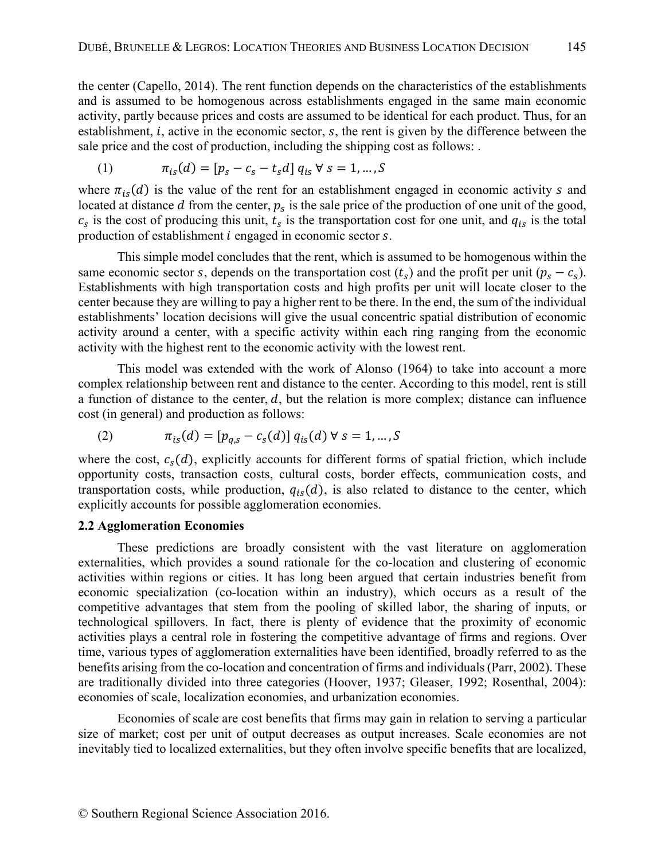the center (Capello, 2014). The rent function depends on the characteristics of the establishments and is assumed to be homogenous across establishments engaged in the same main economic activity, partly because prices and costs are assumed to be identical for each product. Thus, for an establishment,  $i$ , active in the economic sector,  $s$ , the rent is given by the difference between the sale price and the cost of production, including the shipping cost as follows: .

(1) 
$$
\pi_{is}(d) = [p_s - c_s - t_s d] q_{is} \forall s = 1, ..., S
$$

where  $\pi_{is}(d)$  is the value of the rent for an establishment engaged in economic activity s and located at distance  $d$  from the center,  $p_s$  is the sale price of the production of one unit of the good,  $c_s$  is the cost of producing this unit,  $t_s$  is the transportation cost for one unit, and  $q_{is}$  is the total production of establishment  $i$  engaged in economic sector  $s$ .

This simple model concludes that the rent, which is assumed to be homogenous within the same economic sector s, depends on the transportation cost  $(t_s)$  and the profit per unit  $(p_s - c_s)$ . Establishments with high transportation costs and high profits per unit will locate closer to the center because they are willing to pay a higher rent to be there. In the end, the sum of the individual establishments' location decisions will give the usual concentric spatial distribution of economic activity around a center, with a specific activity within each ring ranging from the economic activity with the highest rent to the economic activity with the lowest rent.

This model was extended with the work of Alonso (1964) to take into account a more complex relationship between rent and distance to the center. According to this model, rent is still a function of distance to the center,  $d$ , but the relation is more complex; distance can influence cost (in general) and production as follows:

(2) 
$$
\pi_{is}(d) = [p_{q,s} - c_s(d)] q_{is}(d) \forall s = 1,...,S
$$

where the cost,  $c_s(d)$ , explicitly accounts for different forms of spatial friction, which include opportunity costs, transaction costs, cultural costs, border effects, communication costs, and transportation costs, while production,  $q_{is}(d)$ , is also related to distance to the center, which explicitly accounts for possible agglomeration economies.

#### **2.2 Agglomeration Economies**

These predictions are broadly consistent with the vast literature on agglomeration externalities, which provides a sound rationale for the co-location and clustering of economic activities within regions or cities. It has long been argued that certain industries benefit from economic specialization (co-location within an industry), which occurs as a result of the competitive advantages that stem from the pooling of skilled labor, the sharing of inputs, or technological spillovers. In fact, there is plenty of evidence that the proximity of economic activities plays a central role in fostering the competitive advantage of firms and regions. Over time, various types of agglomeration externalities have been identified, broadly referred to as the benefits arising from the co-location and concentration of firms and individuals (Parr, 2002). These are traditionally divided into three categories (Hoover, 1937; Gleaser, 1992; Rosenthal, 2004): economies of scale, localization economies, and urbanization economies.

Economies of scale are cost benefits that firms may gain in relation to serving a particular size of market; cost per unit of output decreases as output increases. Scale economies are not inevitably tied to localized externalities, but they often involve specific benefits that are localized,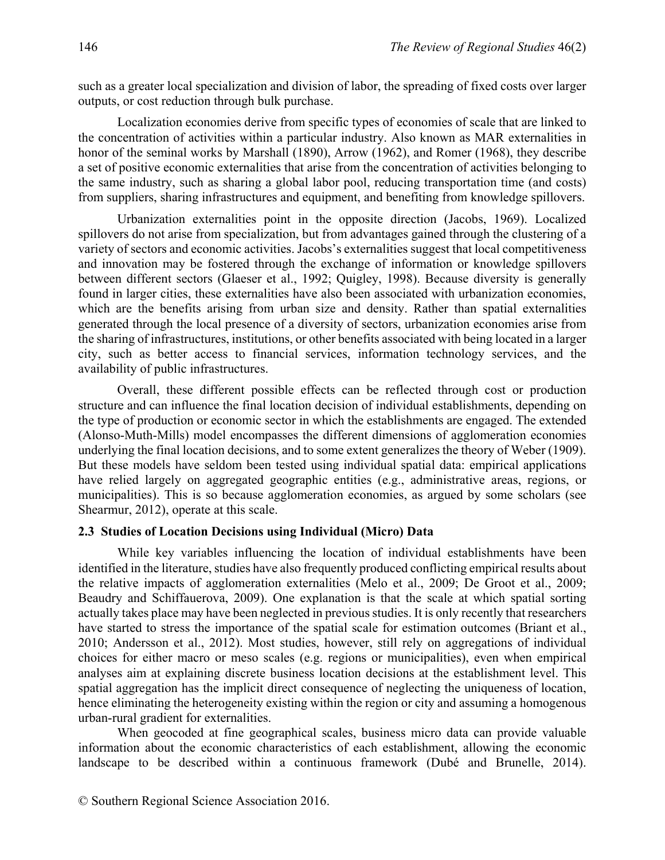such as a greater local specialization and division of labor, the spreading of fixed costs over larger outputs, or cost reduction through bulk purchase.

Localization economies derive from specific types of economies of scale that are linked to the concentration of activities within a particular industry. Also known as MAR externalities in honor of the seminal works by Marshall (1890), Arrow (1962), and Romer (1968), they describe a set of positive economic externalities that arise from the concentration of activities belonging to the same industry, such as sharing a global labor pool, reducing transportation time (and costs) from suppliers, sharing infrastructures and equipment, and benefiting from knowledge spillovers.

Urbanization externalities point in the opposite direction (Jacobs, 1969). Localized spillovers do not arise from specialization, but from advantages gained through the clustering of a variety of sectors and economic activities. Jacobs's externalities suggest that local competitiveness and innovation may be fostered through the exchange of information or knowledge spillovers between different sectors (Glaeser et al., 1992; Quigley, 1998). Because diversity is generally found in larger cities, these externalities have also been associated with urbanization economies, which are the benefits arising from urban size and density. Rather than spatial externalities generated through the local presence of a diversity of sectors, urbanization economies arise from the sharing of infrastructures, institutions, or other benefits associated with being located in a larger city, such as better access to financial services, information technology services, and the availability of public infrastructures.

Overall, these different possible effects can be reflected through cost or production structure and can influence the final location decision of individual establishments, depending on the type of production or economic sector in which the establishments are engaged. The extended (Alonso-Muth-Mills) model encompasses the different dimensions of agglomeration economies underlying the final location decisions, and to some extent generalizes the theory of Weber (1909). But these models have seldom been tested using individual spatial data: empirical applications have relied largely on aggregated geographic entities (e.g., administrative areas, regions, or municipalities). This is so because agglomeration economies, as argued by some scholars (see Shearmur, 2012), operate at this scale.

## **2.3 Studies of Location Decisions using Individual (Micro) Data**

While key variables influencing the location of individual establishments have been identified in the literature, studies have also frequently produced conflicting empirical results about the relative impacts of agglomeration externalities (Melo et al., 2009; De Groot et al., 2009; Beaudry and Schiffauerova, 2009). One explanation is that the scale at which spatial sorting actually takes place may have been neglected in previous studies. It is only recently that researchers have started to stress the importance of the spatial scale for estimation outcomes (Briant et al., 2010; Andersson et al., 2012). Most studies, however, still rely on aggregations of individual choices for either macro or meso scales (e.g. regions or municipalities), even when empirical analyses aim at explaining discrete business location decisions at the establishment level. This spatial aggregation has the implicit direct consequence of neglecting the uniqueness of location, hence eliminating the heterogeneity existing within the region or city and assuming a homogenous urban-rural gradient for externalities.

When geocoded at fine geographical scales, business micro data can provide valuable information about the economic characteristics of each establishment, allowing the economic landscape to be described within a continuous framework (Dubé and Brunelle, 2014).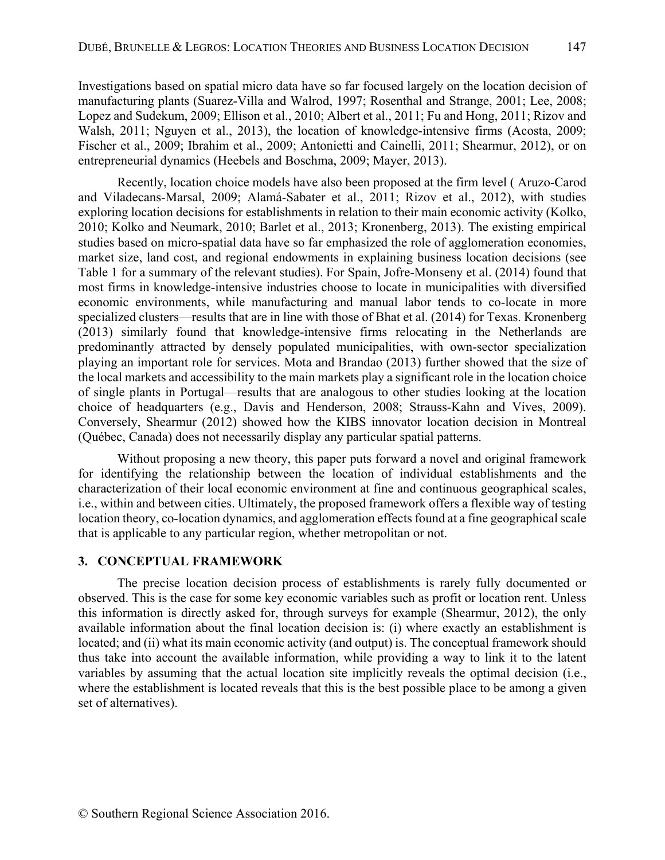Investigations based on spatial micro data have so far focused largely on the location decision of manufacturing plants (Suarez-Villa and Walrod, 1997; Rosenthal and Strange, 2001; Lee, 2008; Lopez and Sudekum, 2009; Ellison et al., 2010; Albert et al., 2011; Fu and Hong, 2011; Rizov and Walsh, 2011; Nguyen et al., 2013), the location of knowledge-intensive firms (Acosta, 2009; Fischer et al., 2009; Ibrahim et al., 2009; Antonietti and Cainelli, 2011; Shearmur, 2012), or on entrepreneurial dynamics (Heebels and Boschma, 2009; Mayer, 2013).

Recently, location choice models have also been proposed at the firm level ( Aruzo-Carod and Viladecans-Marsal, 2009; Alamá-Sabater et al., 2011; Rizov et al., 2012), with studies exploring location decisions for establishments in relation to their main economic activity (Kolko, 2010; Kolko and Neumark, 2010; Barlet et al., 2013; Kronenberg, 2013). The existing empirical studies based on micro-spatial data have so far emphasized the role of agglomeration economies, market size, land cost, and regional endowments in explaining business location decisions (see Table 1 for a summary of the relevant studies). For Spain, Jofre-Monseny et al. (2014) found that most firms in knowledge-intensive industries choose to locate in municipalities with diversified economic environments, while manufacturing and manual labor tends to co-locate in more specialized clusters—results that are in line with those of Bhat et al. (2014) for Texas. Kronenberg (2013) similarly found that knowledge-intensive firms relocating in the Netherlands are predominantly attracted by densely populated municipalities, with own-sector specialization playing an important role for services. Mota and Brandao (2013) further showed that the size of the local markets and accessibility to the main markets play a significant role in the location choice of single plants in Portugal—results that are analogous to other studies looking at the location choice of headquarters (e.g., Davis and Henderson, 2008; Strauss-Kahn and Vives, 2009). Conversely, Shearmur (2012) showed how the KIBS innovator location decision in Montreal (Québec, Canada) does not necessarily display any particular spatial patterns.

Without proposing a new theory, this paper puts forward a novel and original framework for identifying the relationship between the location of individual establishments and the characterization of their local economic environment at fine and continuous geographical scales, i.e., within and between cities. Ultimately, the proposed framework offers a flexible way of testing location theory, co-location dynamics, and agglomeration effects found at a fine geographical scale that is applicable to any particular region, whether metropolitan or not.

## **3. CONCEPTUAL FRAMEWORK**

The precise location decision process of establishments is rarely fully documented or observed. This is the case for some key economic variables such as profit or location rent. Unless this information is directly asked for, through surveys for example (Shearmur, 2012), the only available information about the final location decision is: (i) where exactly an establishment is located; and (ii) what its main economic activity (and output) is. The conceptual framework should thus take into account the available information, while providing a way to link it to the latent variables by assuming that the actual location site implicitly reveals the optimal decision (i.e., where the establishment is located reveals that this is the best possible place to be among a given set of alternatives).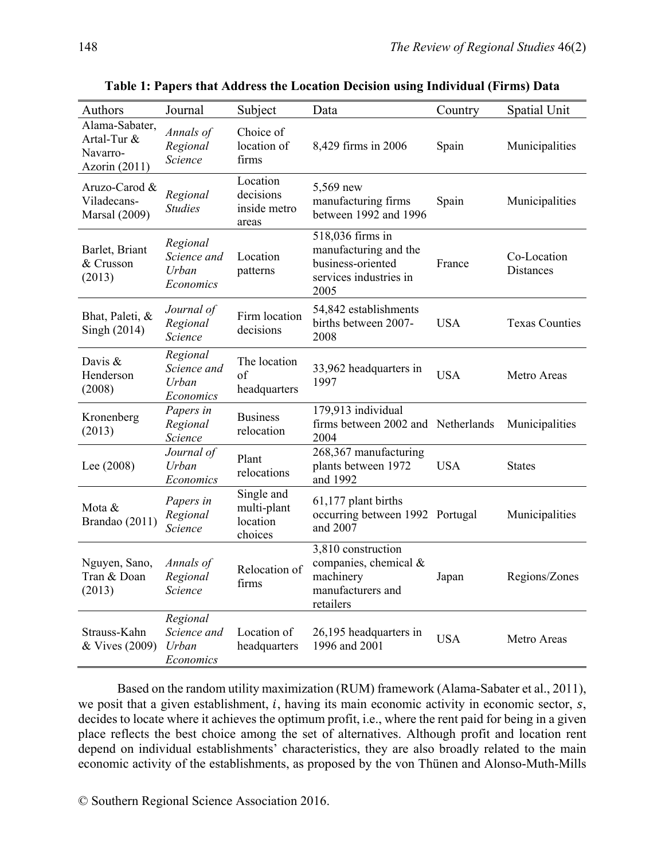| Authors                                                      | Journal                                       | Subject                                          | Data                                                                                             | Country    | Spatial Unit                    |
|--------------------------------------------------------------|-----------------------------------------------|--------------------------------------------------|--------------------------------------------------------------------------------------------------|------------|---------------------------------|
| Alama-Sabater,<br>Artal-Tur &<br>Navarro-<br>Azorin $(2011)$ | Annals of<br>Regional<br>Science              | Choice of<br>location of<br>firms                | 8,429 firms in 2006                                                                              | Spain      | Municipalities                  |
| Aruzo-Carod &<br>Viladecans-<br><b>Marsal</b> (2009)         | Regional<br><b>Studies</b>                    | Location<br>decisions<br>inside metro<br>areas   | 5,569 new<br>manufacturing firms<br>between 1992 and 1996                                        | Spain      | Municipalities                  |
| Barlet, Briant<br>& Crusson<br>(2013)                        | Regional<br>Science and<br>Urban<br>Economics | Location<br>patterns                             | 518,036 firms in<br>manufacturing and the<br>business-oriented<br>services industries in<br>2005 | France     | Co-Location<br><b>Distances</b> |
| Bhat, Paleti, &<br>Singh (2014)                              | Journal of<br>Regional<br>Science             | Firm location<br>decisions                       | 54,842 establishments<br>births between 2007-<br>2008                                            | <b>USA</b> | <b>Texas Counties</b>           |
| Davis $\&$<br>Henderson<br>(2008)                            | Regional<br>Science and<br>Urban<br>Economics | The location<br>of<br>headquarters               | 33,962 headquarters in<br>1997                                                                   | <b>USA</b> | Metro Areas                     |
| Kronenberg<br>(2013)                                         | Papers in<br>Regional<br>Science              | <b>Business</b><br>relocation                    | 179,913 individual<br>firms between 2002 and Netherlands<br>2004                                 |            | Municipalities                  |
| Lee (2008)                                                   | Journal of<br>Urban<br>Economics              | Plant<br>relocations                             | 268,367 manufacturing<br>plants between 1972<br>and 1992                                         | <b>USA</b> | <b>States</b>                   |
| Mota &<br>Brandao (2011)                                     | Papers in<br>Regional<br>Science              | Single and<br>multi-plant<br>location<br>choices | 61,177 plant births<br>occurring between 1992 Portugal<br>and 2007                               |            | Municipalities                  |
| Nguyen, Sano,<br>Tran & Doan<br>(2013)                       | Annals of<br>Regional<br>Science              | Relocation of<br>firms                           | 3,810 construction<br>companies, chemical &<br>machinery<br>manufacturers and<br>retailers       | Japan      | Regions/Zones                   |
| Strauss-Kahn<br>& Vives (2009)                               | Regional<br>Science and<br>Urban<br>Economics | Location of<br>headquarters                      | 26,195 headquarters in<br>1996 and 2001                                                          | <b>USA</b> | Metro Areas                     |

**Table 1: Papers that Address the Location Decision using Individual (Firms) Data** 

Based on the random utility maximization (RUM) framework (Alama-Sabater et al., 2011), we posit that a given establishment,  $i$ , having its main economic activity in economic sector,  $s$ , decides to locate where it achieves the optimum profit, i.e., where the rent paid for being in a given place reflects the best choice among the set of alternatives. Although profit and location rent depend on individual establishments' characteristics, they are also broadly related to the main economic activity of the establishments, as proposed by the von Thünen and Alonso-Muth-Mills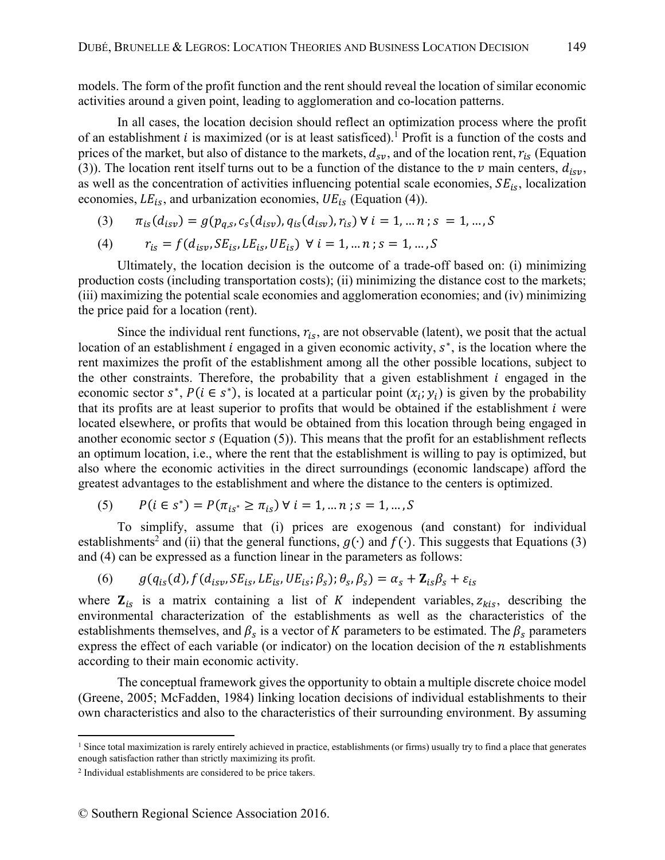models. The form of the profit function and the rent should reveal the location of similar economic activities around a given point, leading to agglomeration and co-location patterns.

In all cases, the location decision should reflect an optimization process where the profit of an establishment  $i$  is maximized (or is at least satisficed).<sup>1</sup> Profit is a function of the costs and prices of the market, but also of distance to the markets,  $d_{sv}$ , and of the location rent,  $r_{is}$  (Equation (3)). The location rent itself turns out to be a function of the distance to the  $\nu$  main centers,  $d_{isy}$ , as well as the concentration of activities influencing potential scale economies,  $SE_{is}$ , localization economies,  $LE_{is}$ , and urbanization economies,  $UE_{is}$  (Equation (4)).

(3)  $\pi_{is}(d_{isy}) = g(p_{a,s}, c_s(d_{isy}), q_{is}(d_{isy}), r_{is}) \forall i = 1, ..., n; s = 1, ..., S$ 

(4) 
$$
r_{is} = f(d_{isv}, SE_{is}, LE_{is}, UE_{is}) \ \forall \ i = 1, ..., n; s = 1, ..., S
$$

Ultimately, the location decision is the outcome of a trade-off based on: (i) minimizing production costs (including transportation costs); (ii) minimizing the distance cost to the markets; (iii) maximizing the potential scale economies and agglomeration economies; and (iv) minimizing the price paid for a location (rent).

Since the individual rent functions,  $r_{is}$ , are not observable (latent), we posit that the actual location of an establishment  $i$  engaged in a given economic activity,  $s^*$ , is the location where the rent maximizes the profit of the establishment among all the other possible locations, subject to the other constraints. Therefore, the probability that a given establishment  $i$  engaged in the economic sector  $s^*$ ,  $P(i \in s^*)$ , is located at a particular point  $(x_i; y_i)$  is given by the probability that its profits are at least superior to profits that would be obtained if the establishment  $i$  were located elsewhere, or profits that would be obtained from this location through being engaged in another economic sector  $s$  (Equation  $(5)$ ). This means that the profit for an establishment reflects an optimum location, i.e., where the rent that the establishment is willing to pay is optimized, but also where the economic activities in the direct surroundings (economic landscape) afford the greatest advantages to the establishment and where the distance to the centers is optimized.

(5)  $P(i \in s^*) = P(\pi_{is^*} \geq \pi_{is}) \ \forall \ i = 1, ..., n; s = 1, ..., S$ 

To simplify, assume that (i) prices are exogenous (and constant) for individual establishments<sup>2</sup> and (ii) that the general functions,  $g(·)$  and  $f(·)$ . This suggests that Equations (3) and (4) can be expressed as a function linear in the parameters as follows:

(6) 
$$
g(q_{is}(d), f(d_{isv}, SE_{is}, LE_{is}, UE_{is}; \beta_s); \theta_s, \beta_s) = \alpha_s + \mathbf{Z}_{is}\beta_s + \varepsilon_{is}
$$

where  $\mathbf{Z}_{is}$  is a matrix containing a list of K independent variables,  $z_{kis}$ , describing the environmental characterization of the establishments as well as the characteristics of the establishments themselves, and  $\beta_s$  is a vector of K parameters to be estimated. The  $\beta_s$  parameters express the effect of each variable (or indicator) on the location decision of the  $n$  establishments according to their main economic activity.

The conceptual framework gives the opportunity to obtain a multiple discrete choice model (Greene, 2005; McFadden, 1984) linking location decisions of individual establishments to their own characteristics and also to the characteristics of their surrounding environment. By assuming

<u>.</u>

<sup>&</sup>lt;sup>1</sup> Since total maximization is rarely entirely achieved in practice, establishments (or firms) usually try to find a place that generates enough satisfaction rather than strictly maximizing its profit.

<sup>2</sup> Individual establishments are considered to be price takers.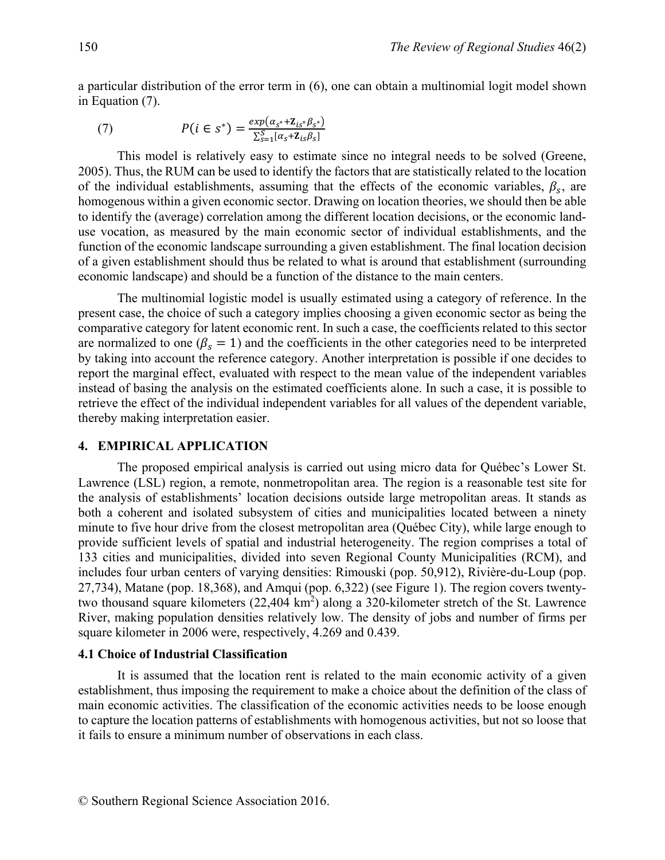a particular distribution of the error term in (6), one can obtain a multinomial logit model shown in Equation (7).

(7) 
$$
P(i \in s^*) = \frac{exp(\alpha_{s^*} + \mathbf{Z}_{is^*} \beta_{s^*})}{\sum_{s=1}^S [\alpha_s + \mathbf{Z}_{is} \beta_s]}
$$

This model is relatively easy to estimate since no integral needs to be solved (Greene, 2005). Thus, the RUM can be used to identify the factors that are statistically related to the location of the individual establishments, assuming that the effects of the economic variables,  $\beta_s$ , are homogenous within a given economic sector. Drawing on location theories, we should then be able to identify the (average) correlation among the different location decisions, or the economic landuse vocation, as measured by the main economic sector of individual establishments, and the function of the economic landscape surrounding a given establishment. The final location decision of a given establishment should thus be related to what is around that establishment (surrounding economic landscape) and should be a function of the distance to the main centers.

The multinomial logistic model is usually estimated using a category of reference. In the present case, the choice of such a category implies choosing a given economic sector as being the comparative category for latent economic rent. In such a case, the coefficients related to this sector are normalized to one ( $\beta_s = 1$ ) and the coefficients in the other categories need to be interpreted by taking into account the reference category. Another interpretation is possible if one decides to report the marginal effect, evaluated with respect to the mean value of the independent variables instead of basing the analysis on the estimated coefficients alone. In such a case, it is possible to retrieve the effect of the individual independent variables for all values of the dependent variable, thereby making interpretation easier.

#### **4. EMPIRICAL APPLICATION**

The proposed empirical analysis is carried out using micro data for Québec's Lower St. Lawrence (LSL) region, a remote, nonmetropolitan area. The region is a reasonable test site for the analysis of establishments' location decisions outside large metropolitan areas. It stands as both a coherent and isolated subsystem of cities and municipalities located between a ninety minute to five hour drive from the closest metropolitan area (Québec City), while large enough to provide sufficient levels of spatial and industrial heterogeneity. The region comprises a total of 133 cities and municipalities, divided into seven Regional County Municipalities (RCM), and includes four urban centers of varying densities: Rimouski (pop. 50,912), Rivière-du-Loup (pop. 27,734), Matane (pop. 18,368), and Amqui (pop. 6,322) (see Figure 1). The region covers twentytwo thousand square kilometers  $(22,404 \text{ km}^2)$  along a 320-kilometer stretch of the St. Lawrence River, making population densities relatively low. The density of jobs and number of firms per square kilometer in 2006 were, respectively, 4.269 and 0.439.

#### **4.1 Choice of Industrial Classification**

It is assumed that the location rent is related to the main economic activity of a given establishment, thus imposing the requirement to make a choice about the definition of the class of main economic activities. The classification of the economic activities needs to be loose enough to capture the location patterns of establishments with homogenous activities, but not so loose that it fails to ensure a minimum number of observations in each class.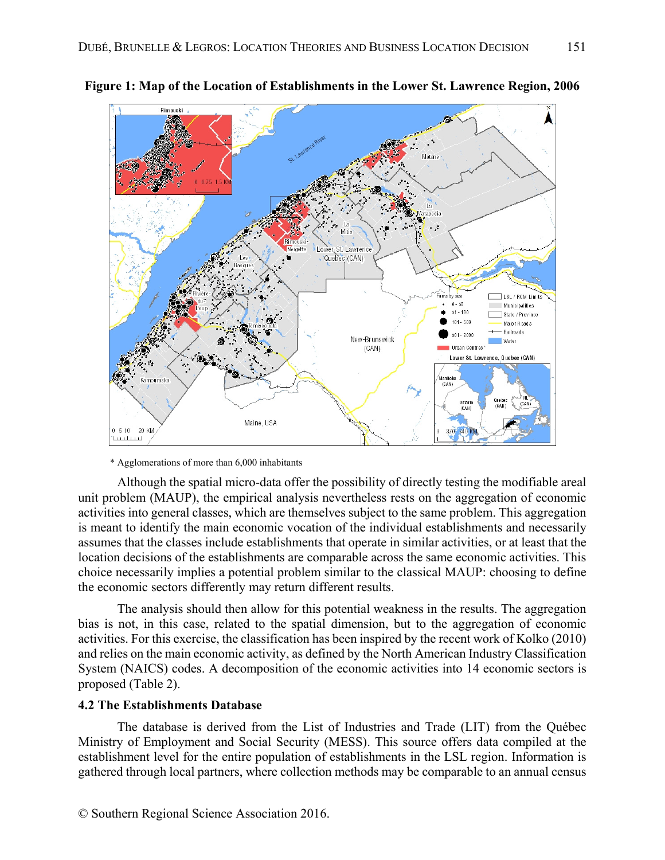

**Figure 1: Map of the Location of Establishments in the Lower St. Lawrence Region, 2006** 

\* Agglomerations of more than 6,000 inhabitants

Although the spatial micro-data offer the possibility of directly testing the modifiable areal unit problem (MAUP), the empirical analysis nevertheless rests on the aggregation of economic activities into general classes, which are themselves subject to the same problem. This aggregation is meant to identify the main economic vocation of the individual establishments and necessarily assumes that the classes include establishments that operate in similar activities, or at least that the location decisions of the establishments are comparable across the same economic activities. This choice necessarily implies a potential problem similar to the classical MAUP: choosing to define the economic sectors differently may return different results.

The analysis should then allow for this potential weakness in the results. The aggregation bias is not, in this case, related to the spatial dimension, but to the aggregation of economic activities. For this exercise, the classification has been inspired by the recent work of Kolko (2010) and relies on the main economic activity, as defined by the North American Industry Classification System (NAICS) codes. A decomposition of the economic activities into 14 economic sectors is proposed (Table 2).

## **4.2 The Establishments Database**

The database is derived from the List of Industries and Trade (LIT) from the Québec Ministry of Employment and Social Security (MESS). This source offers data compiled at the establishment level for the entire population of establishments in the LSL region. Information is gathered through local partners, where collection methods may be comparable to an annual census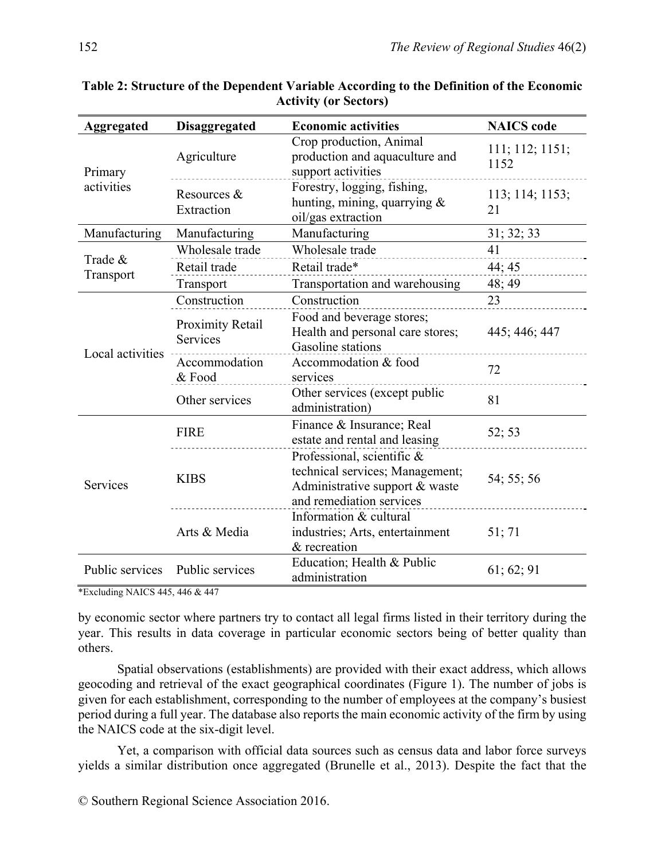| <b>Aggregated</b> | <b>Disaggregated</b>                | <b>Economic activities</b>                                                                                                       | <b>NAICS</b> code       |
|-------------------|-------------------------------------|----------------------------------------------------------------------------------------------------------------------------------|-------------------------|
| Primary           | Agriculture                         | Crop production, Animal<br>production and aquaculture and<br>support activities                                                  | 111; 112; 1151;<br>1152 |
| activities        | Resources &<br>Extraction           | Forestry, logging, fishing,<br>hunting, mining, quarrying $\&$<br>oil/gas extraction                                             | 113; 114; 1153;<br>21   |
| Manufacturing     | Manufacturing                       | Manufacturing                                                                                                                    | 31; 32; 33              |
|                   | Wholesale trade                     | Wholesale trade                                                                                                                  | 41                      |
| Trade &           | Retail trade                        | Retail trade*                                                                                                                    | 44; 45                  |
| Transport         | Transport                           | Transportation and warehousing                                                                                                   | 48; 49                  |
|                   | Construction                        | Construction                                                                                                                     | 23                      |
|                   | Proximity Retail<br><b>Services</b> | Food and beverage stores;<br>Health and personal care stores;<br>Gasoline stations                                               | 445; 446; 447           |
| Local activities  | Accommodation<br>& Food             | Accommodation & food<br>services                                                                                                 | 72                      |
|                   | Other services                      | Other services (except public<br>administration)                                                                                 | 81                      |
|                   | <b>FIRE</b>                         | Finance & Insurance; Real<br>estate and rental and leasing                                                                       | 52; 53                  |
| Services          | <b>KIBS</b>                         | Professional, scientific $\&$<br>technical services; Management;<br>Administrative support $&$ waste<br>and remediation services | 54; 55; 56              |
|                   | Arts & Media                        | Information & cultural<br>industries; Arts, entertainment<br>& recreation                                                        | 51; 71                  |
| Public services   | Public services                     | Education; Health & Public<br>administration                                                                                     | 61; 62; 91              |

| Table 2: Structure of the Dependent Variable According to the Definition of the Economic |
|------------------------------------------------------------------------------------------|
| <b>Activity (or Sectors)</b>                                                             |

\*Excluding NAICS 445, 446 & 447

by economic sector where partners try to contact all legal firms listed in their territory during the year. This results in data coverage in particular economic sectors being of better quality than others.

Spatial observations (establishments) are provided with their exact address, which allows geocoding and retrieval of the exact geographical coordinates (Figure 1). The number of jobs is given for each establishment, corresponding to the number of employees at the company's busiest period during a full year. The database also reports the main economic activity of the firm by using the NAICS code at the six-digit level.

Yet, a comparison with official data sources such as census data and labor force surveys yields a similar distribution once aggregated (Brunelle et al., 2013). Despite the fact that the

© Southern Regional Science Association 2016.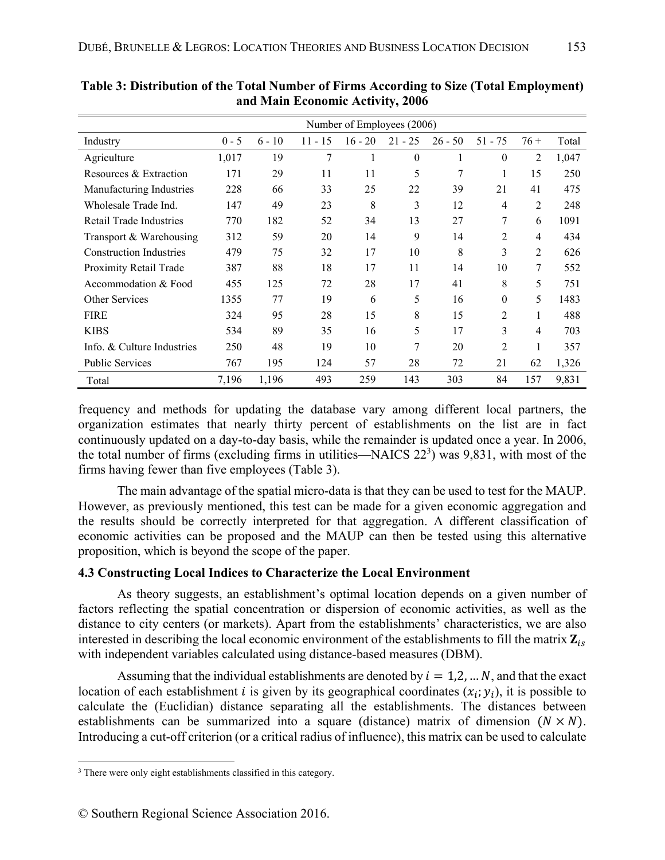|                                | Number of Employees (2006) |          |           |           |           |           |                |                |       |  |  |  |
|--------------------------------|----------------------------|----------|-----------|-----------|-----------|-----------|----------------|----------------|-------|--|--|--|
| Industry                       | $0 - 5$                    | $6 - 10$ | $11 - 15$ | $16 - 20$ | $21 - 25$ | $26 - 50$ | $51 - 75$      | $76+$          | Total |  |  |  |
| Agriculture                    | 1,017                      | 19       | 7         | 1         | $\theta$  | 1         | $\theta$       | $\overline{2}$ | 1,047 |  |  |  |
| Resources & Extraction         | 171                        | 29       | 11        | 11        | 5         | 7         | 1              | 15             | 250   |  |  |  |
| Manufacturing Industries       | 228                        | 66       | 33        | 25        | 22        | 39        | 21             | 41             | 475   |  |  |  |
| Wholesale Trade Ind.           | 147                        | 49       | 23        | 8         | 3         | 12        | $\overline{4}$ | $\overline{2}$ | 248   |  |  |  |
| Retail Trade Industries        | 770                        | 182      | 52        | 34        | 13        | 27        | 7              | 6              | 1091  |  |  |  |
| Transport & Warehousing        | 312                        | 59       | 20        | 14        | 9         | 14        | $\overline{2}$ | $\overline{4}$ | 434   |  |  |  |
| <b>Construction Industries</b> | 479                        | 75       | 32        | 17        | 10        | 8         | 3              | $\overline{2}$ | 626   |  |  |  |
| Proximity Retail Trade         | 387                        | 88       | 18        | 17        | 11        | 14        | 10             | 7              | 552   |  |  |  |
| Accommodation & Food           | 455                        | 125      | 72        | 28        | 17        | 41        | 8              | 5              | 751   |  |  |  |
| <b>Other Services</b>          | 1355                       | 77       | 19        | 6         | 5         | 16        | $\theta$       | 5              | 1483  |  |  |  |
| <b>FIRE</b>                    | 324                        | 95       | 28        | 15        | 8         | 15        | $\overline{2}$ | 1              | 488   |  |  |  |
| <b>KIBS</b>                    | 534                        | 89       | 35        | 16        | 5         | 17        | 3              | $\overline{4}$ | 703   |  |  |  |
| Info. & Culture Industries     | 250                        | 48       | 19        | 10        | 7         | 20        | $\overline{2}$ | 1              | 357   |  |  |  |
| <b>Public Services</b>         | 767                        | 195      | 124       | 57        | 28        | 72        | 21             | 62             | 1,326 |  |  |  |
| Total                          | 7,196                      | 1,196    | 493       | 259       | 143       | 303       | 84             | 157            | 9,831 |  |  |  |

**Table 3: Distribution of the Total Number of Firms According to Size (Total Employment) and Main Economic Activity, 2006** 

frequency and methods for updating the database vary among different local partners, the organization estimates that nearly thirty percent of establishments on the list are in fact continuously updated on a day-to-day basis, while the remainder is updated once a year. In 2006, the total number of firms (excluding firms in utilities—NAICS  $22<sup>3</sup>$ ) was 9,831, with most of the firms having fewer than five employees (Table 3).

The main advantage of the spatial micro-data is that they can be used to test for the MAUP. However, as previously mentioned, this test can be made for a given economic aggregation and the results should be correctly interpreted for that aggregation. A different classification of economic activities can be proposed and the MAUP can then be tested using this alternative proposition, which is beyond the scope of the paper.

## **4.3 Constructing Local Indices to Characterize the Local Environment**

As theory suggests, an establishment's optimal location depends on a given number of factors reflecting the spatial concentration or dispersion of economic activities, as well as the distance to city centers (or markets). Apart from the establishments' characteristics, we are also interested in describing the local economic environment of the establishments to fill the matrix  $\mathbf{Z}_{i_{s}}$ with independent variables calculated using distance-based measures (DBM).

Assuming that the individual establishments are denoted by  $i = 1, 2, ... N$ , and that the exact location of each establishment *i* is given by its geographical coordinates  $(x_i, y_i)$ , it is possible to calculate the (Euclidian) distance separating all the establishments. The distances between establishments can be summarized into a square (distance) matrix of dimension  $(N \times N)$ . Introducing a cut-off criterion (or a critical radius of influence), this matrix can be used to calculate

 $\overline{a}$ <sup>3</sup> There were only eight establishments classified in this category.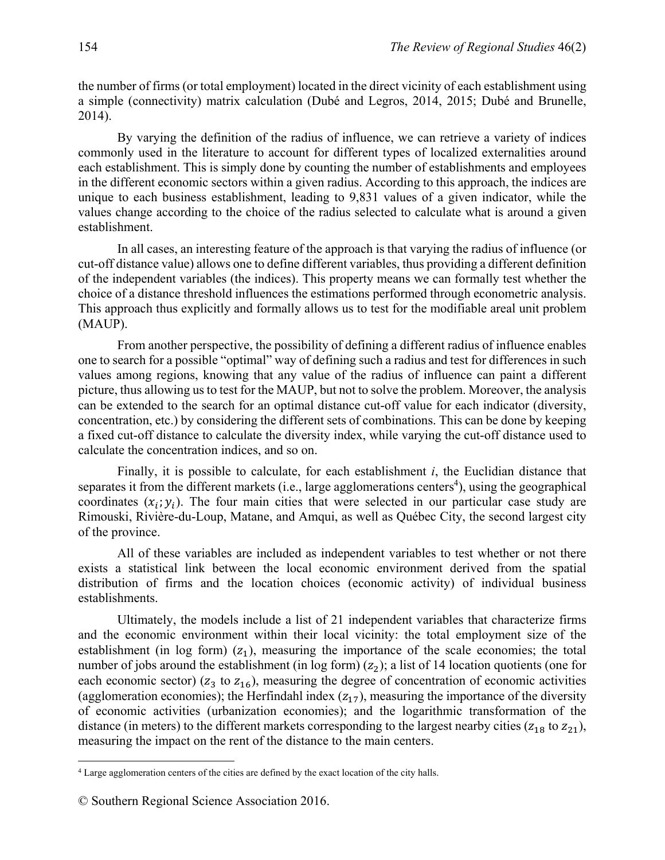the number of firms (or total employment) located in the direct vicinity of each establishment using a simple (connectivity) matrix calculation (Dubé and Legros, 2014, 2015; Dubé and Brunelle, 2014).

By varying the definition of the radius of influence, we can retrieve a variety of indices commonly used in the literature to account for different types of localized externalities around each establishment. This is simply done by counting the number of establishments and employees in the different economic sectors within a given radius. According to this approach, the indices are unique to each business establishment, leading to 9,831 values of a given indicator, while the values change according to the choice of the radius selected to calculate what is around a given establishment.

In all cases, an interesting feature of the approach is that varying the radius of influence (or cut-off distance value) allows one to define different variables, thus providing a different definition of the independent variables (the indices). This property means we can formally test whether the choice of a distance threshold influences the estimations performed through econometric analysis. This approach thus explicitly and formally allows us to test for the modifiable areal unit problem (MAUP).

From another perspective, the possibility of defining a different radius of influence enables one to search for a possible "optimal" way of defining such a radius and test for differences in such values among regions, knowing that any value of the radius of influence can paint a different picture, thus allowing us to test for the MAUP, but not to solve the problem. Moreover, the analysis can be extended to the search for an optimal distance cut-off value for each indicator (diversity, concentration, etc.) by considering the different sets of combinations. This can be done by keeping a fixed cut-off distance to calculate the diversity index, while varying the cut-off distance used to calculate the concentration indices, and so on.

Finally, it is possible to calculate, for each establishment *i*, the Euclidian distance that separates it from the different markets (i.e., large agglomerations centers<sup>4</sup>), using the geographical coordinates  $(x_i; y_i)$ . The four main cities that were selected in our particular case study are Rimouski, Rivière-du-Loup, Matane, and Amqui, as well as Québec City, the second largest city of the province.

All of these variables are included as independent variables to test whether or not there exists a statistical link between the local economic environment derived from the spatial distribution of firms and the location choices (economic activity) of individual business establishments.

Ultimately, the models include a list of 21 independent variables that characterize firms and the economic environment within their local vicinity: the total employment size of the establishment (in log form)  $(z_1)$ , measuring the importance of the scale economies; the total number of jobs around the establishment (in log form)  $(z_2)$ ; a list of 14 location quotients (one for each economic sector) ( $z_3$  to  $z_{16}$ ), measuring the degree of concentration of economic activities (agglomeration economies); the Herfindahl index  $(z_{17})$ , measuring the importance of the diversity of economic activities (urbanization economies); and the logarithmic transformation of the distance (in meters) to the different markets corresponding to the largest nearby cities ( $z_{18}$  to  $z_{21}$ ), measuring the impact on the rent of the distance to the main centers.

1

<sup>4</sup> Large agglomeration centers of the cities are defined by the exact location of the city halls.

<sup>©</sup> Southern Regional Science Association 2016.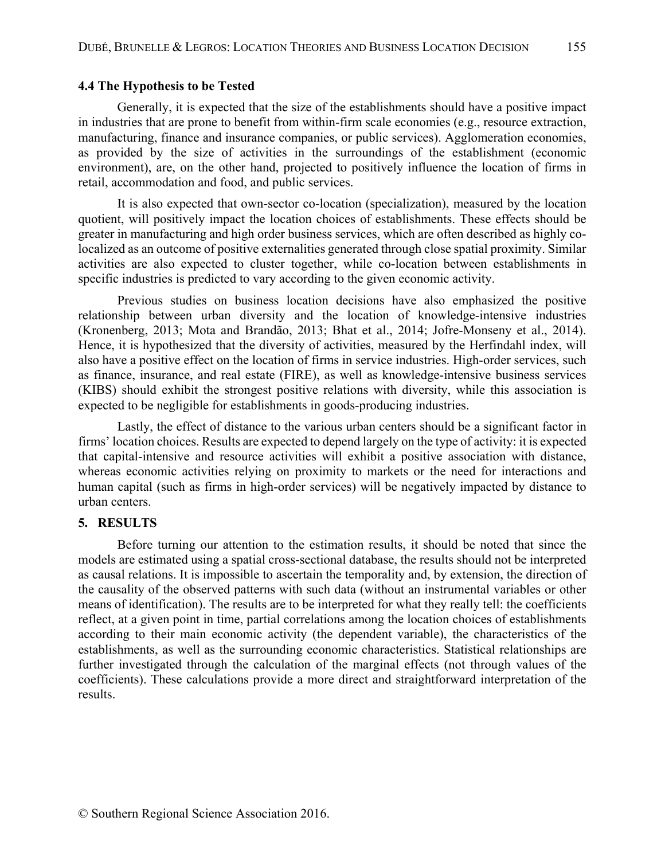### **4.4 The Hypothesis to be Tested**

Generally, it is expected that the size of the establishments should have a positive impact in industries that are prone to benefit from within-firm scale economies (e.g., resource extraction, manufacturing, finance and insurance companies, or public services). Agglomeration economies, as provided by the size of activities in the surroundings of the establishment (economic environment), are, on the other hand, projected to positively influence the location of firms in retail, accommodation and food, and public services.

It is also expected that own-sector co-location (specialization), measured by the location quotient, will positively impact the location choices of establishments. These effects should be greater in manufacturing and high order business services, which are often described as highly colocalized as an outcome of positive externalities generated through close spatial proximity. Similar activities are also expected to cluster together, while co-location between establishments in specific industries is predicted to vary according to the given economic activity.

Previous studies on business location decisions have also emphasized the positive relationship between urban diversity and the location of knowledge-intensive industries (Kronenberg, 2013; Mota and Brandão, 2013; Bhat et al., 2014; Jofre-Monseny et al., 2014). Hence, it is hypothesized that the diversity of activities, measured by the Herfindahl index, will also have a positive effect on the location of firms in service industries. High-order services, such as finance, insurance, and real estate (FIRE), as well as knowledge-intensive business services (KIBS) should exhibit the strongest positive relations with diversity, while this association is expected to be negligible for establishments in goods-producing industries.

Lastly, the effect of distance to the various urban centers should be a significant factor in firms' location choices. Results are expected to depend largely on the type of activity: it is expected that capital-intensive and resource activities will exhibit a positive association with distance, whereas economic activities relying on proximity to markets or the need for interactions and human capital (such as firms in high-order services) will be negatively impacted by distance to urban centers.

## **5. RESULTS**

Before turning our attention to the estimation results, it should be noted that since the models are estimated using a spatial cross-sectional database, the results should not be interpreted as causal relations. It is impossible to ascertain the temporality and, by extension, the direction of the causality of the observed patterns with such data (without an instrumental variables or other means of identification). The results are to be interpreted for what they really tell: the coefficients reflect, at a given point in time, partial correlations among the location choices of establishments according to their main economic activity (the dependent variable), the characteristics of the establishments, as well as the surrounding economic characteristics. Statistical relationships are further investigated through the calculation of the marginal effects (not through values of the coefficients). These calculations provide a more direct and straightforward interpretation of the results.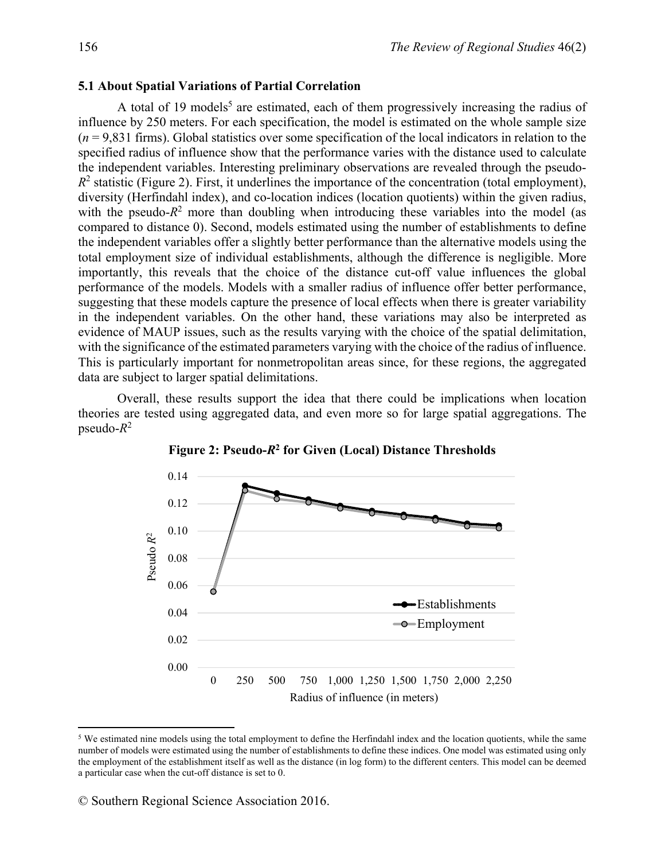#### **5.1 About Spatial Variations of Partial Correlation**

A total of 19 models<sup>5</sup> are estimated, each of them progressively increasing the radius of influence by 250 meters. For each specification, the model is estimated on the whole sample size  $(n = 9,831)$  firms). Global statistics over some specification of the local indicators in relation to the specified radius of influence show that the performance varies with the distance used to calculate the independent variables. Interesting preliminary observations are revealed through the pseudo- $R<sup>2</sup>$  statistic (Figure 2). First, it underlines the importance of the concentration (total employment), diversity (Herfindahl index), and co-location indices (location quotients) within the given radius, with the pseudo- $R<sup>2</sup>$  more than doubling when introducing these variables into the model (as compared to distance 0). Second, models estimated using the number of establishments to define the independent variables offer a slightly better performance than the alternative models using the total employment size of individual establishments, although the difference is negligible. More importantly, this reveals that the choice of the distance cut-off value influences the global performance of the models. Models with a smaller radius of influence offer better performance, suggesting that these models capture the presence of local effects when there is greater variability in the independent variables. On the other hand, these variations may also be interpreted as evidence of MAUP issues, such as the results varying with the choice of the spatial delimitation, with the significance of the estimated parameters varying with the choice of the radius of influence. This is particularly important for nonmetropolitan areas since, for these regions, the aggregated data are subject to larger spatial delimitations.

Overall, these results support the idea that there could be implications when location theories are tested using aggregated data, and even more so for large spatial aggregations. The  $p$ seudo- $R^2$ 



**Figure 2: Pseudo-***R***<sup>2</sup> for Given (Local) Distance Thresholds** 

1

<sup>5</sup> We estimated nine models using the total employment to define the Herfindahl index and the location quotients, while the same number of models were estimated using the number of establishments to define these indices. One model was estimated using only the employment of the establishment itself as well as the distance (in log form) to the different centers. This model can be deemed a particular case when the cut-off distance is set to 0.

<sup>©</sup> Southern Regional Science Association 2016.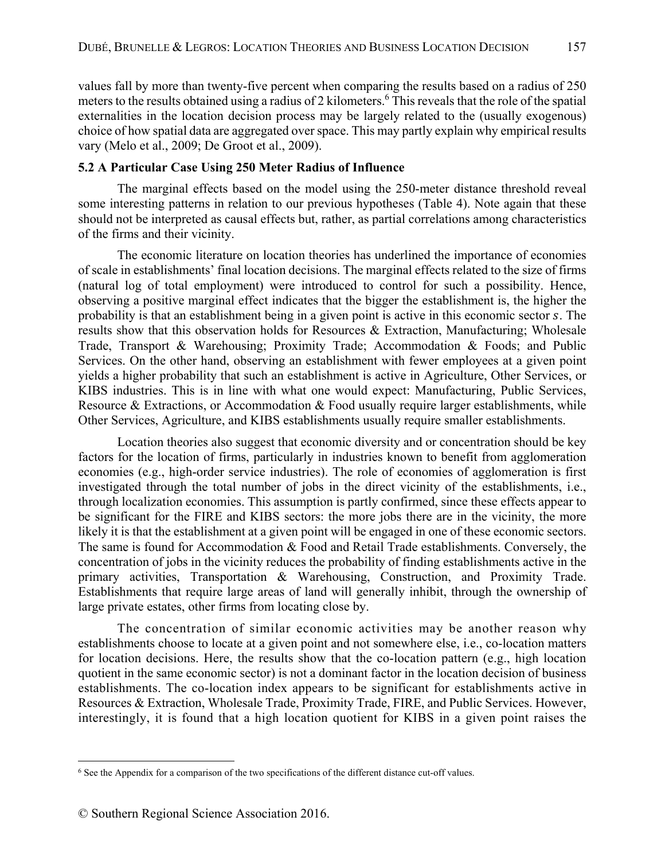values fall by more than twenty-five percent when comparing the results based on a radius of 250 meters to the results obtained using a radius of 2 kilometers.<sup>6</sup> This reveals that the role of the spatial externalities in the location decision process may be largely related to the (usually exogenous) choice of how spatial data are aggregated over space. This may partly explain why empirical results vary (Melo et al., 2009; De Groot et al., 2009).

## **5.2 A Particular Case Using 250 Meter Radius of Influence**

The marginal effects based on the model using the 250-meter distance threshold reveal some interesting patterns in relation to our previous hypotheses (Table 4). Note again that these should not be interpreted as causal effects but, rather, as partial correlations among characteristics of the firms and their vicinity.

The economic literature on location theories has underlined the importance of economies of scale in establishments' final location decisions. The marginal effects related to the size of firms (natural log of total employment) were introduced to control for such a possibility. Hence, observing a positive marginal effect indicates that the bigger the establishment is, the higher the probability is that an establishment being in a given point is active in this economic sector s. The results show that this observation holds for Resources & Extraction, Manufacturing; Wholesale Trade, Transport & Warehousing; Proximity Trade; Accommodation & Foods; and Public Services. On the other hand, observing an establishment with fewer employees at a given point yields a higher probability that such an establishment is active in Agriculture, Other Services, or KIBS industries. This is in line with what one would expect: Manufacturing, Public Services, Resource & Extractions, or Accommodation & Food usually require larger establishments, while Other Services, Agriculture, and KIBS establishments usually require smaller establishments.

Location theories also suggest that economic diversity and or concentration should be key factors for the location of firms, particularly in industries known to benefit from agglomeration economies (e.g., high-order service industries). The role of economies of agglomeration is first investigated through the total number of jobs in the direct vicinity of the establishments, i.e., through localization economies. This assumption is partly confirmed, since these effects appear to be significant for the FIRE and KIBS sectors: the more jobs there are in the vicinity, the more likely it is that the establishment at a given point will be engaged in one of these economic sectors. The same is found for Accommodation & Food and Retail Trade establishments. Conversely, the concentration of jobs in the vicinity reduces the probability of finding establishments active in the primary activities, Transportation & Warehousing, Construction, and Proximity Trade. Establishments that require large areas of land will generally inhibit, through the ownership of large private estates, other firms from locating close by.

The concentration of similar economic activities may be another reason why establishments choose to locate at a given point and not somewhere else, i.e., co-location matters for location decisions. Here, the results show that the co-location pattern (e.g., high location quotient in the same economic sector) is not a dominant factor in the location decision of business establishments. The co-location index appears to be significant for establishments active in Resources & Extraction, Wholesale Trade, Proximity Trade, FIRE, and Public Services. However, interestingly, it is found that a high location quotient for KIBS in a given point raises the

 $\overline{a}$ 6 See the Appendix for a comparison of the two specifications of the different distance cut-off values.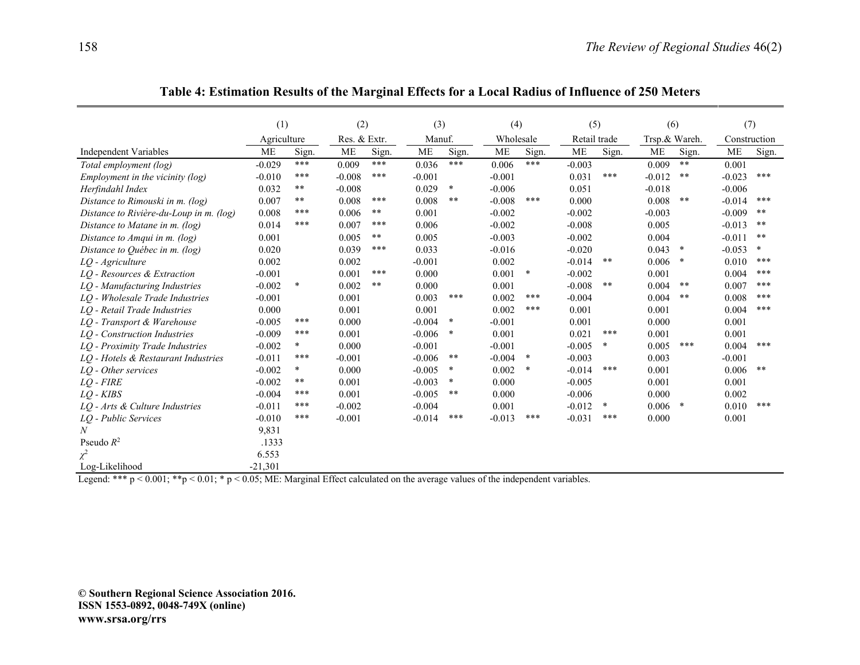|                                         | (1)         |        | (2)          |       |           | (3)    |           | (4)    |              | (5)    | (6)           |        | (7)          |        |
|-----------------------------------------|-------------|--------|--------------|-------|-----------|--------|-----------|--------|--------------|--------|---------------|--------|--------------|--------|
|                                         | Agriculture |        | Res. & Extr. |       | Manuf.    |        | Wholesale |        | Retail trade |        | Trsp.& Wareh. |        | Construction |        |
| Independent Variables                   | ME          | Sign.  | <b>ME</b>    | Sign. | <b>ME</b> | Sign.  | <b>ME</b> | Sign.  | <b>ME</b>    | Sign.  | ME            | Sign.  | <b>ME</b>    | Sign.  |
| Total employment (log)                  | $-0.029$    | $***$  | 0.009        | $***$ | 0.036     | $***$  | 0.006     | $***$  | $-0.003$     |        | 0.009         | $* *$  | 0.001        |        |
| Employment in the vicinity (log)        | $-0.010$    | $***$  | $-0.008$     | ***   | $-0.001$  |        | $-0.001$  |        | 0.031        | $***$  | $-0.012$      | **     | $-0.023$     | ***    |
| Herfindahl Index                        | 0.032       | $***$  | $-0.008$     |       | 0.029     | $\ast$ | $-0.006$  |        | 0.051        |        | $-0.018$      |        | $-0.006$     |        |
| Distance to Rimouski in m. (log)        | 0.007       | $* *$  | 0.008        | $***$ | 0.008     | $***$  | $-0.008$  | ***    | 0.000        |        | 0.008         | **     | $-0.014$     | ***    |
| Distance to Rivière-du-Loup in m. (log) | 0.008       | ***    | 0.006        | $***$ | 0.001     |        | $-0.002$  |        | $-0.002$     |        | $-0.003$      |        | $-0.009$     | $* *$  |
| Distance to Matane in m. (log)          | 0.014       | ***    | 0.007        | ***   | 0.006     |        | $-0.002$  |        | $-0.008$     |        | 0.005         |        | $-0.013$     | $***$  |
| Distance to Amqui in m. $(log)$         | 0.001       |        | 0.005        | $***$ | 0.005     |        | $-0.003$  |        | $-0.002$     |        | 0.004         |        | $-0.011$     | $***$  |
| Distance to Québec in m. (log)          | 0.020       |        | 0.039        | ***   | 0.033     |        | $-0.016$  |        | $-0.020$     |        | 0.043         | $\ast$ | $-0.053$     | $\ast$ |
| LQ - Agriculture                        | 0.002       |        | 0.002        |       | $-0.001$  |        | 0.002     |        | $-0.014$     | $***$  | 0.006         | *      | 0.010        | ***    |
| LQ - Resources & Extraction             | $-0.001$    |        | 0.001        | $***$ | 0.000     |        | 0.001     | $\ast$ | $-0.002$     |        | 0.001         |        | 0.004        | ***    |
| LQ - Manufacturing Industries           | $-0.002$    | $\ast$ | 0.002        | **    | 0.000     |        | 0.001     |        | $-0.008$     | $***$  | 0.004         | $***$  | 0.007        | ***    |
| LQ - Wholesale Trade Industries         | $-0.001$    |        | 0.001        |       | 0.003     | ***    | 0.002     | ***    | $-0.004$     |        | 0.004         | $***$  | 0.008        | ***    |
| LO - Retail Trade Industries            | 0.000       |        | 0.001        |       | 0.001     |        | 0.002     | ***    | 0.001        |        | 0.001         |        | 0.004        | ***    |
| LO - Transport & Warehouse              | $-0.005$    | ***    | 0.000        |       | $-0.004$  | $\ast$ | $-0.001$  |        | 0.001        |        | 0.000         |        | 0.001        |        |
| LO - Construction Industries            | $-0.009$    | ***    | 0.001        |       | $-0.006$  | $\ast$ | 0.001     |        | 0.021        | ***    | 0.001         |        | 0.001        |        |
| LQ - Proximity Trade Industries         | $-0.002$    | $\ast$ | 0.000        |       | $-0.001$  |        | $-0.001$  |        | $-0.005$     | $\ast$ | 0.005         | ***    | 0.004        | ***    |
| LQ - Hotels & Restaurant Industries     | $-0.011$    | ***    | $-0.001$     |       | $-0.006$  | $***$  | $-0.004$  | $\ast$ | $-0.003$     |        | 0.003         |        | $-0.001$     |        |
| LQ - Other services                     | $-0.002$    | $\ast$ | 0.000        |       | $-0.005$  | $\ast$ | 0.002     | $\ast$ | $-0.014$     | ***    | 0.001         |        | 0.006        | $***$  |
| $LO$ - $FIRE$                           | $-0.002$    | $* *$  | 0.001        |       | $-0.003$  | $\ast$ | 0.000     |        | $-0.005$     |        | 0.001         |        | 0.001        |        |
| $LO$ - $KIBS$                           | $-0.004$    | ***    | 0.001        |       | $-0.005$  | $***$  | 0.000     |        | $-0.006$     |        | 0.000         |        | 0.002        |        |
| LO - Arts & Culture Industries          | $-0.011$    | ***    | $-0.002$     |       | $-0.004$  |        | 0.001     |        | $-0.012$     | $\ast$ | 0.006         | $\ast$ | 0.010        | ***    |
| LQ - Public Services                    | $-0.010$    | ***    | $-0.001$     |       | $-0.014$  | ***    | $-0.013$  | ***    | $-0.031$     | ***    | 0.000         |        | 0.001        |        |
| N                                       | 9,831       |        |              |       |           |        |           |        |              |        |               |        |              |        |
| Pseudo $R^2$                            | .1333       |        |              |       |           |        |           |        |              |        |               |        |              |        |
| $\chi^2$                                | 6.553       |        |              |       |           |        |           |        |              |        |               |        |              |        |
| Log-Likelihood                          | $-21,301$   |        |              |       |           |        |           |        |              |        |               |        |              |        |

**Table 4: Estimation Results of the Marginal Effects for a Local Radius of Influence of 250 Meters** 

Legend: \*\*\*  $p < 0.001$ ; \*\* $p < 0.01$ ; \*  $p < 0.05$ ; ME: Marginal Effect calculated on the average values of the independent variables.

**© Southern Regional Science Association 2016. ISSN 1553-0892, 0048-749X (online) www.srsa.org/rrs**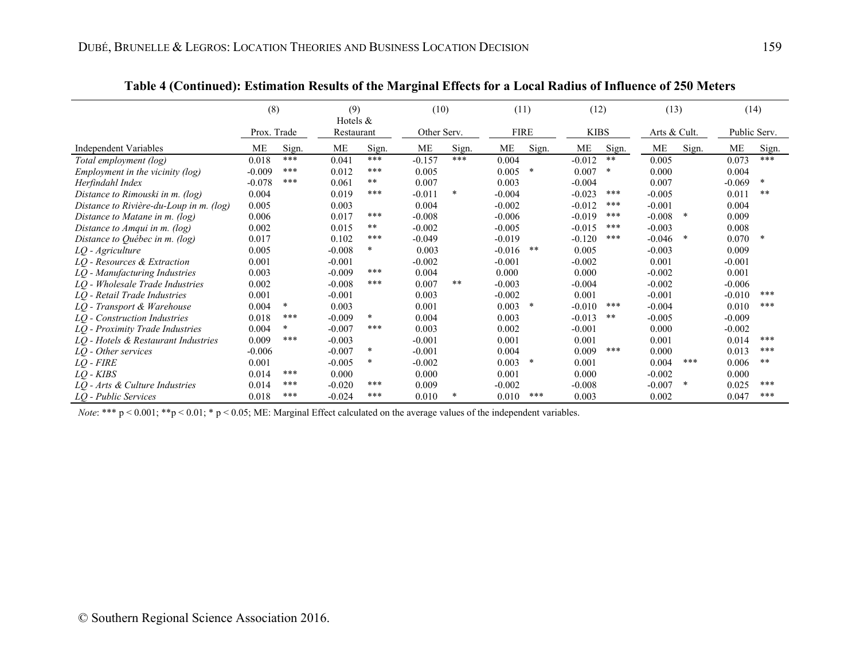|                                         | (8)         |        | (9)<br>Hotels $&$ |        | (10)        |        |             | (11)   |             | (12)         | (13)         |        | (14)         |        |
|-----------------------------------------|-------------|--------|-------------------|--------|-------------|--------|-------------|--------|-------------|--------------|--------------|--------|--------------|--------|
|                                         | Prox. Trade |        | Restaurant        |        | Other Serv. |        | <b>FIRE</b> |        | <b>KIBS</b> |              | Arts & Cult. |        | Public Serv. |        |
| Independent Variables                   | МE          | Sign.  | ME                | Sign.  | ME          | Sign.  | ME          | Sign.  | ME          | Sign.        | ME           | Sign.  | ME           | Sign.  |
| Total employment (log)                  | 0.018       | ***    | 0.041             | ***    | $-0.157$    | ***    | 0.004       |        | $-0.012$    | $\star\star$ | 0.005        |        | 0.073        | ***    |
| Employment in the vicinity (log)        | $-0.009$    | ***    | 0.012             | ***    | 0.005       |        | 0.005       | $\ast$ | 0.007       | $\ast$       | 0.000        |        | 0.004        |        |
| Herfindahl Index                        | $-0.078$    | ***    | 0.061             | $***$  | 0.007       |        | 0.003       |        | $-0.004$    |              | 0.007        |        | $-0.069$     | $\ast$ |
| Distance to Rimouski in m. (log)        | 0.004       |        | 0.019             | ***    | $-0.011$    | $\ast$ | $-0.004$    |        | $-0.023$    | $***$        | $-0.005$     |        | 0.011        | **     |
| Distance to Rivière-du-Loup in m. (log) | 0.005       |        | 0.003             |        | 0.004       |        | $-0.002$    |        | $-0.012$    | $***$        | $-0.001$     |        | 0.004        |        |
| Distance to Matane in $m$ . (log)       | 0.006       |        | 0.017             | ***    | $-0.008$    |        | $-0.006$    |        | $-0.019$    | $***$        | $-0.008$     |        | 0.009        |        |
| Distance to Amqui in m. (log)           | 0.002       |        | 0.015             | $***$  | $-0.002$    |        | $-0.005$    |        | $-0.015$    | $***$        | $-0.003$     |        | 0.008        |        |
| Distance to Québec in $m$ . (log)       | 0.017       |        | 0.102             | ***    | $-0.049$    |        | $-0.019$    |        | $-0.120$    | $***$        | $-0.046$     | $\ast$ | 0.070        | *      |
| LQ - Agriculture                        | 0.005       |        | $-0.008$          | $\ast$ | 0.003       |        | $-0.016$    | **     | 0.005       |              | $-0.003$     |        | 0.009        |        |
| LQ - Resources & Extraction             | 0.001       |        | $-0.001$          |        | $-0.002$    |        | $-0.001$    |        | $-0.002$    |              | 0.001        |        | $-0.001$     |        |
| LQ - Manufacturing Industries           | 0.003       |        | $-0.009$          | ***    | 0.004       |        | 0.000       |        | 0.000       |              | $-0.002$     |        | 0.001        |        |
| LQ - Wholesale Trade Industries         | 0.002       |        | $-0.008$          | ***    | 0.007       | **     | $-0.003$    |        | $-0.004$    |              | $-0.002$     |        | $-0.006$     |        |
| LO - Retail Trade Industries            | 0.001       |        | $-0.001$          |        | 0.003       |        | $-0.002$    |        | 0.001       |              | $-0.001$     |        | $-0.010$     | ***    |
| LQ - Transport & Warehouse              | 0.004       | $\ast$ | 0.003             |        | 0.001       |        | 0.003       | $\ast$ | $-0.010$    | $***$        | $-0.004$     |        | 0.010        | ***    |
| LQ - Construction Industries            | 0.018       | ***    | $-0.009$          | $\ast$ | 0.004       |        | 0.003       |        | $-0.013$    | $\star\star$ | $-0.005$     |        | $-0.009$     |        |
| LQ - Proximity Trade Industries         | 0.004       | *      | $-0.007$          | ***    | 0.003       |        | 0.002       |        | $-0.001$    |              | 0.000        |        | $-0.002$     |        |
| LQ - Hotels & Restaurant Industries     | 0.009       | ***    | $-0.003$          |        | $-0.001$    |        | 0.001       |        | 0.001       |              | 0.001        |        | 0.014        | ***    |
| LQ - Other services                     | $-0.006$    |        | $-0.007$          | $\ast$ | $-0.001$    |        | 0.004       |        | 0.009       | $***$        | 0.000        |        | 0.013        | ***    |
| $LQ$ - $FIRE$                           | 0.001       |        | $-0.005$          | $\ast$ | $-0.002$    |        | 0.003       | $\ast$ | 0.001       |              | 0.004        | ***    | 0.006        | **     |
| $LO$ - $KIBS$                           | 0.014       | ***    | 0.000             |        | 0.000       |        | 0.001       |        | 0.000       |              | $-0.002$     |        | 0.000        |        |
| LQ - Arts & Culture Industries          | 0.014       | ***    | $-0.020$          | ***    | 0.009       |        | $-0.002$    |        | $-0.008$    |              | $-0.007$     | $\ast$ | 0.025        | ***    |
| LO - Public Services                    | 0.018       | ***    | $-0.024$          | ***    | 0.010       | *      | 0.010       | $***$  | 0.003       |              | 0.002        |        | 0.047        | ***    |

**Table 4 (Continued): Estimation Results of the Marginal Effects for a Local Radius of Influence of 250 Meters** 

*Note*: \*\*\*  $p$  < 0.001; \*\*p < 0.01; \* p < 0.05; ME: Marginal Effect calculated on the average values of the independent variables.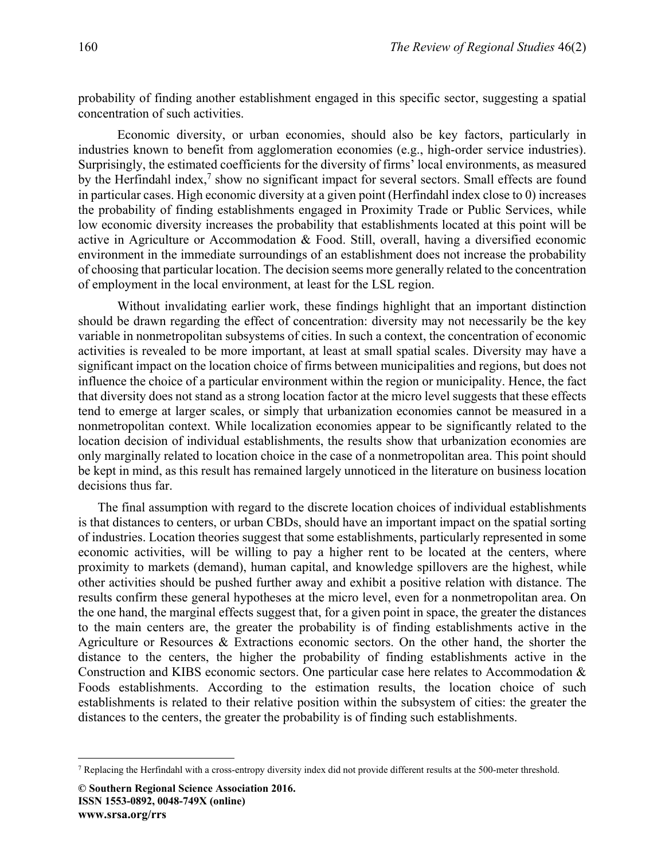probability of finding another establishment engaged in this specific sector, suggesting a spatial concentration of such activities.

Economic diversity, or urban economies, should also be key factors, particularly in industries known to benefit from agglomeration economies (e.g., high-order service industries). Surprisingly, the estimated coefficients for the diversity of firms' local environments, as measured by the Herfindahl index,<sup>7</sup> show no significant impact for several sectors. Small effects are found in particular cases. High economic diversity at a given point (Herfindahl index close to 0) increases the probability of finding establishments engaged in Proximity Trade or Public Services, while low economic diversity increases the probability that establishments located at this point will be active in Agriculture or Accommodation & Food. Still, overall, having a diversified economic environment in the immediate surroundings of an establishment does not increase the probability of choosing that particular location. The decision seems more generally related to the concentration of employment in the local environment, at least for the LSL region.

Without invalidating earlier work, these findings highlight that an important distinction should be drawn regarding the effect of concentration: diversity may not necessarily be the key variable in nonmetropolitan subsystems of cities. In such a context, the concentration of economic activities is revealed to be more important, at least at small spatial scales. Diversity may have a significant impact on the location choice of firms between municipalities and regions, but does not influence the choice of a particular environment within the region or municipality. Hence, the fact that diversity does not stand as a strong location factor at the micro level suggests that these effects tend to emerge at larger scales, or simply that urbanization economies cannot be measured in a nonmetropolitan context. While localization economies appear to be significantly related to the location decision of individual establishments, the results show that urbanization economies are only marginally related to location choice in the case of a nonmetropolitan area. This point should be kept in mind, as this result has remained largely unnoticed in the literature on business location decisions thus far.

The final assumption with regard to the discrete location choices of individual establishments is that distances to centers, or urban CBDs, should have an important impact on the spatial sorting of industries. Location theories suggest that some establishments, particularly represented in some economic activities, will be willing to pay a higher rent to be located at the centers, where proximity to markets (demand), human capital, and knowledge spillovers are the highest, while other activities should be pushed further away and exhibit a positive relation with distance. The results confirm these general hypotheses at the micro level, even for a nonmetropolitan area. On the one hand, the marginal effects suggest that, for a given point in space, the greater the distances to the main centers are, the greater the probability is of finding establishments active in the Agriculture or Resources & Extractions economic sectors. On the other hand, the shorter the distance to the centers, the higher the probability of finding establishments active in the Construction and KIBS economic sectors. One particular case here relates to Accommodation & Foods establishments. According to the estimation results, the location choice of such establishments is related to their relative position within the subsystem of cities: the greater the distances to the centers, the greater the probability is of finding such establishments.

 $\overline{a}$ 

<sup>7</sup> Replacing the Herfindahl with a cross-entropy diversity index did not provide different results at the 500-meter threshold.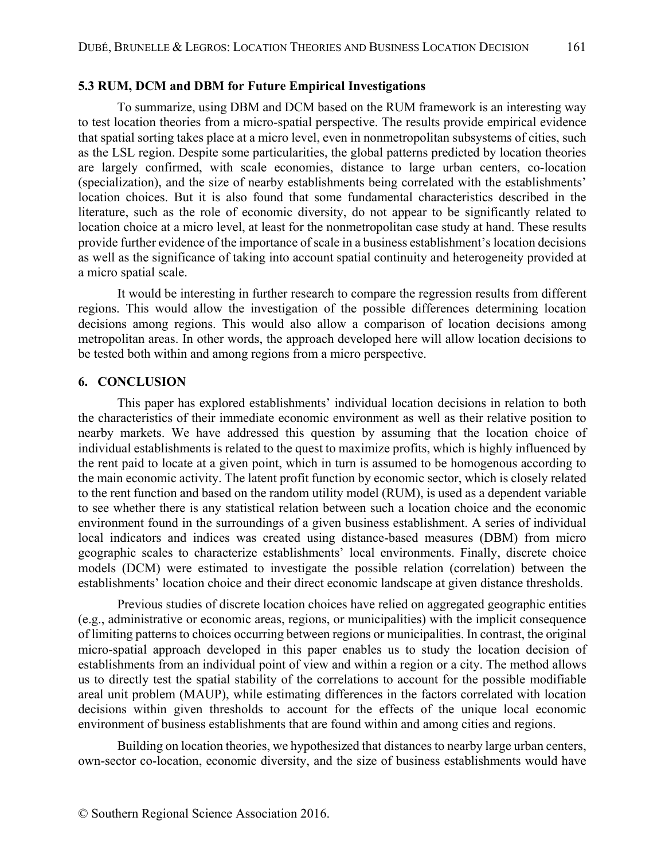#### **5.3 RUM, DCM and DBM for Future Empirical Investigations**

To summarize, using DBM and DCM based on the RUM framework is an interesting way to test location theories from a micro-spatial perspective. The results provide empirical evidence that spatial sorting takes place at a micro level, even in nonmetropolitan subsystems of cities, such as the LSL region. Despite some particularities, the global patterns predicted by location theories are largely confirmed, with scale economies, distance to large urban centers, co-location (specialization), and the size of nearby establishments being correlated with the establishments' location choices. But it is also found that some fundamental characteristics described in the literature, such as the role of economic diversity, do not appear to be significantly related to location choice at a micro level, at least for the nonmetropolitan case study at hand. These results provide further evidence of the importance of scale in a business establishment's location decisions as well as the significance of taking into account spatial continuity and heterogeneity provided at a micro spatial scale.

It would be interesting in further research to compare the regression results from different regions. This would allow the investigation of the possible differences determining location decisions among regions. This would also allow a comparison of location decisions among metropolitan areas. In other words, the approach developed here will allow location decisions to be tested both within and among regions from a micro perspective.

### **6. CONCLUSION**

This paper has explored establishments' individual location decisions in relation to both the characteristics of their immediate economic environment as well as their relative position to nearby markets. We have addressed this question by assuming that the location choice of individual establishments is related to the quest to maximize profits, which is highly influenced by the rent paid to locate at a given point, which in turn is assumed to be homogenous according to the main economic activity. The latent profit function by economic sector, which is closely related to the rent function and based on the random utility model (RUM), is used as a dependent variable to see whether there is any statistical relation between such a location choice and the economic environment found in the surroundings of a given business establishment. A series of individual local indicators and indices was created using distance-based measures (DBM) from micro geographic scales to characterize establishments' local environments. Finally, discrete choice models (DCM) were estimated to investigate the possible relation (correlation) between the establishments' location choice and their direct economic landscape at given distance thresholds.

Previous studies of discrete location choices have relied on aggregated geographic entities (e.g., administrative or economic areas, regions, or municipalities) with the implicit consequence of limiting patterns to choices occurring between regions or municipalities. In contrast, the original micro-spatial approach developed in this paper enables us to study the location decision of establishments from an individual point of view and within a region or a city. The method allows us to directly test the spatial stability of the correlations to account for the possible modifiable areal unit problem (MAUP), while estimating differences in the factors correlated with location decisions within given thresholds to account for the effects of the unique local economic environment of business establishments that are found within and among cities and regions.

Building on location theories, we hypothesized that distances to nearby large urban centers, own-sector co-location, economic diversity, and the size of business establishments would have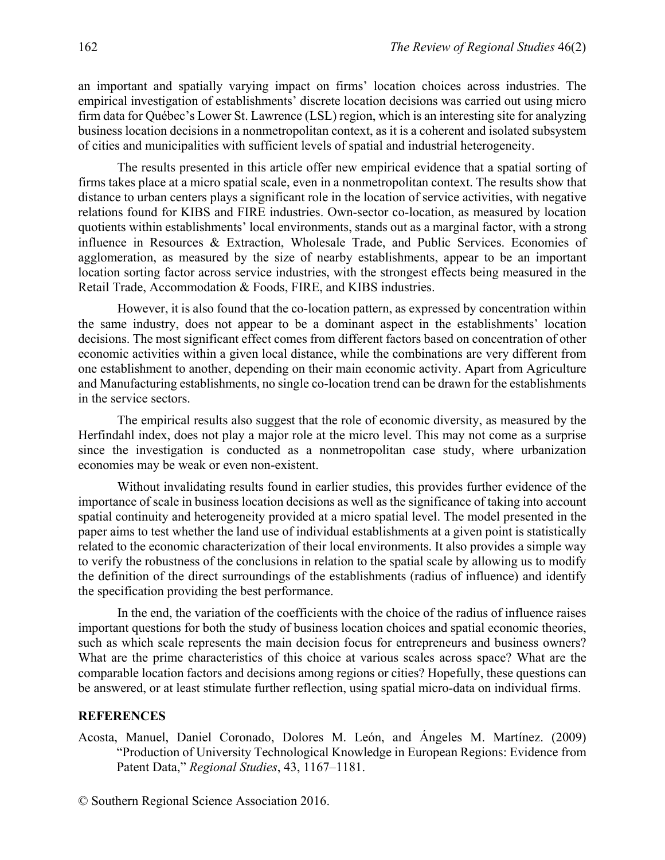an important and spatially varying impact on firms' location choices across industries. The empirical investigation of establishments' discrete location decisions was carried out using micro firm data for Québec's Lower St. Lawrence (LSL) region, which is an interesting site for analyzing business location decisions in a nonmetropolitan context, as it is a coherent and isolated subsystem of cities and municipalities with sufficient levels of spatial and industrial heterogeneity.

The results presented in this article offer new empirical evidence that a spatial sorting of firms takes place at a micro spatial scale, even in a nonmetropolitan context. The results show that distance to urban centers plays a significant role in the location of service activities, with negative relations found for KIBS and FIRE industries. Own-sector co-location, as measured by location quotients within establishments' local environments, stands out as a marginal factor, with a strong influence in Resources & Extraction, Wholesale Trade, and Public Services. Economies of agglomeration, as measured by the size of nearby establishments, appear to be an important location sorting factor across service industries, with the strongest effects being measured in the Retail Trade, Accommodation & Foods, FIRE, and KIBS industries.

However, it is also found that the co-location pattern, as expressed by concentration within the same industry, does not appear to be a dominant aspect in the establishments' location decisions. The most significant effect comes from different factors based on concentration of other economic activities within a given local distance, while the combinations are very different from one establishment to another, depending on their main economic activity. Apart from Agriculture and Manufacturing establishments, no single co-location trend can be drawn for the establishments in the service sectors.

The empirical results also suggest that the role of economic diversity, as measured by the Herfindahl index, does not play a major role at the micro level. This may not come as a surprise since the investigation is conducted as a nonmetropolitan case study, where urbanization economies may be weak or even non-existent.

Without invalidating results found in earlier studies, this provides further evidence of the importance of scale in business location decisions as well as the significance of taking into account spatial continuity and heterogeneity provided at a micro spatial level. The model presented in the paper aims to test whether the land use of individual establishments at a given point is statistically related to the economic characterization of their local environments. It also provides a simple way to verify the robustness of the conclusions in relation to the spatial scale by allowing us to modify the definition of the direct surroundings of the establishments (radius of influence) and identify the specification providing the best performance.

In the end, the variation of the coefficients with the choice of the radius of influence raises important questions for both the study of business location choices and spatial economic theories, such as which scale represents the main decision focus for entrepreneurs and business owners? What are the prime characteristics of this choice at various scales across space? What are the comparable location factors and decisions among regions or cities? Hopefully, these questions can be answered, or at least stimulate further reflection, using spatial micro-data on individual firms.

#### **REFERENCES**

Acosta, Manuel, Daniel Coronado, Dolores M. León, and Ángeles M. Martínez. (2009) "Production of University Technological Knowledge in European Regions: Evidence from Patent Data," *Regional Studies*, 43, 1167–1181.

© Southern Regional Science Association 2016.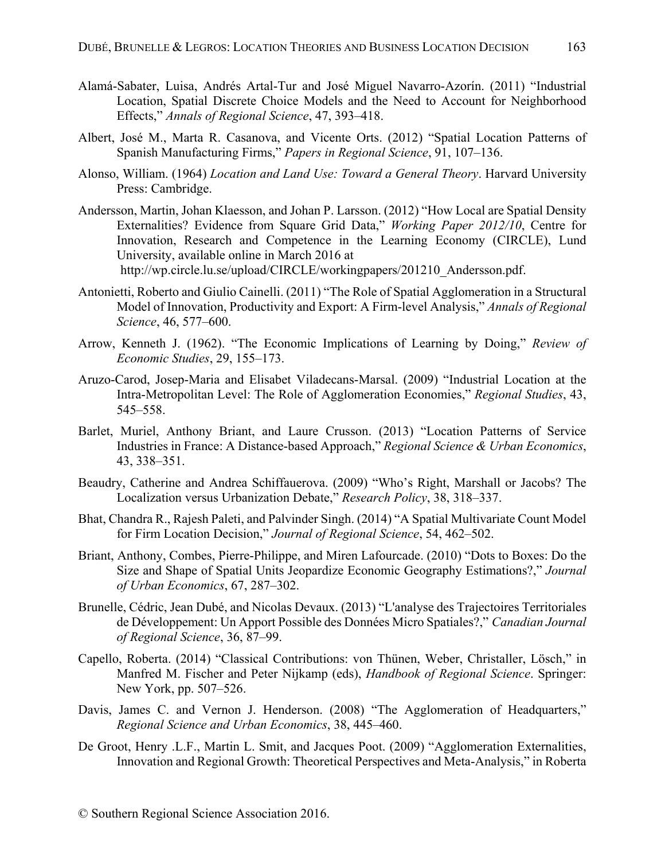- Alamá-Sabater, Luisa, Andrés Artal-Tur and José Miguel Navarro-Azorín. (2011) "Industrial Location, Spatial Discrete Choice Models and the Need to Account for Neighborhood Effects," *Annals of Regional Science*, 47, 393–418.
- Albert, José M., Marta R. Casanova, and Vicente Orts. (2012) "Spatial Location Patterns of Spanish Manufacturing Firms," *Papers in Regional Science*, 91, 107–136.
- Alonso, William. (1964) *Location and Land Use: Toward a General Theory*. Harvard University Press: Cambridge.
- Andersson, Martin, Johan Klaesson, and Johan P. Larsson. (2012) "How Local are Spatial Density Externalities? Evidence from Square Grid Data," *Working Paper 2012/10*, Centre for Innovation, Research and Competence in the Learning Economy (CIRCLE), Lund University, available online in March 2016 at http://wp.circle.lu.se/upload/CIRCLE/workingpapers/201210\_Andersson.pdf.
- Antonietti, Roberto and Giulio Cainelli. (2011) "The Role of Spatial Agglomeration in a Structural Model of Innovation, Productivity and Export: A Firm-level Analysis," *Annals of Regional Science*, 46, 577–600.
- Arrow, Kenneth J. (1962). "The Economic Implications of Learning by Doing," *Review of Economic Studies*, 29, 155–173.
- Aruzo-Carod, Josep-Maria and Elisabet Viladecans-Marsal. (2009) "Industrial Location at the Intra-Metropolitan Level: The Role of Agglomeration Economies," *Regional Studies*, 43, 545–558.
- Barlet, Muriel, Anthony Briant, and Laure Crusson. (2013) "Location Patterns of Service Industries in France: A Distance-based Approach," *Regional Science & Urban Economics*, 43, 338–351.
- Beaudry, Catherine and Andrea Schiffauerova. (2009) "Who's Right, Marshall or Jacobs? The Localization versus Urbanization Debate," *Research Policy*, 38, 318–337.
- Bhat, Chandra R., Rajesh Paleti, and Palvinder Singh. (2014) "A Spatial Multivariate Count Model for Firm Location Decision," *Journal of Regional Science*, 54, 462–502.
- Briant, Anthony, Combes, Pierre-Philippe, and Miren Lafourcade. (2010) "Dots to Boxes: Do the Size and Shape of Spatial Units Jeopardize Economic Geography Estimations?," *Journal of Urban Economics*, 67, 287–302.
- Brunelle, Cédric, Jean Dubé, and Nicolas Devaux. (2013) "L'analyse des Trajectoires Territoriales de Développement: Un Apport Possible des Données Micro Spatiales?," *Canadian Journal of Regional Science*, 36, 87–99.
- Capello, Roberta. (2014) "Classical Contributions: von Thünen, Weber, Christaller, Lösch," in Manfred M. Fischer and Peter Nijkamp (eds), *Handbook of Regional Science*. Springer: New York, pp. 507–526.
- Davis, James C. and Vernon J. Henderson. (2008) "The Agglomeration of Headquarters," *Regional Science and Urban Economics*, 38, 445–460.
- De Groot, Henry .L.F., Martin L. Smit, and Jacques Poot. (2009) "Agglomeration Externalities, Innovation and Regional Growth: Theoretical Perspectives and Meta-Analysis," in Roberta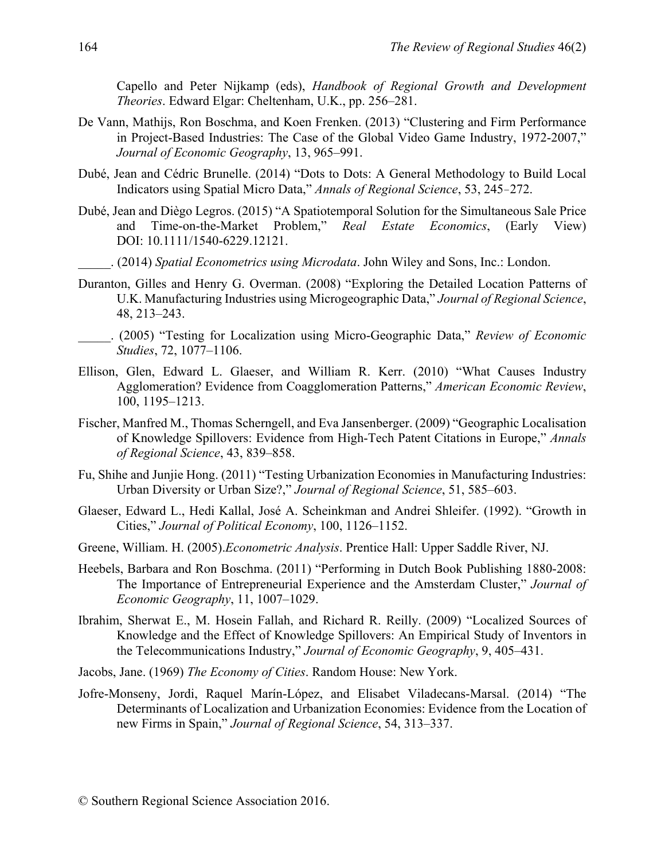Capello and Peter Nijkamp (eds), *Handbook of Regional Growth and Development Theories*. Edward Elgar: Cheltenham, U.K., pp. 256–281.

- De Vann, Mathijs, Ron Boschma, and Koen Frenken. (2013) "Clustering and Firm Performance in Project-Based Industries: The Case of the Global Video Game Industry, 1972-2007," *Journal of Economic Geography*, 13, 965–991.
- Dubé, Jean and Cédric Brunelle. (2014) "Dots to Dots: A General Methodology to Build Local Indicators using Spatial Micro Data," *Annals of Regional Science*, 53, 245–272.
- Dubé, Jean and Diègo Legros. (2015) "A Spatiotemporal Solution for the Simultaneous Sale Price and Time-on-the-Market Problem," *Real Estate Economics*, (Early View) DOI: 10.1111/1540-6229.12121.
	- \_\_\_\_\_. (2014) *Spatial Econometrics using Microdata*. John Wiley and Sons, Inc.: London.
- Duranton, Gilles and Henry G. Overman. (2008) "Exploring the Detailed Location Patterns of U.K. Manufacturing Industries using Microgeographic Data," *Journal of Regional Science*, 48, 213–243.
- \_\_\_\_\_. (2005) "Testing for Localization using Micro-Geographic Data," *Review of Economic Studies*, 72, 1077–1106.
- Ellison, Glen, Edward L. Glaeser, and William R. Kerr. (2010) "What Causes Industry Agglomeration? Evidence from Coagglomeration Patterns," *American Economic Review*, 100, 1195–1213.
- Fischer, Manfred M., Thomas Scherngell, and Eva Jansenberger. (2009) "Geographic Localisation of Knowledge Spillovers: Evidence from High-Tech Patent Citations in Europe," *Annals of Regional Science*, 43, 839–858.
- Fu, Shihe and Junjie Hong. (2011) "Testing Urbanization Economies in Manufacturing Industries: Urban Diversity or Urban Size?," *Journal of Regional Science*, 51, 585–603.
- Glaeser, Edward L., Hedi Kallal, José A. Scheinkman and Andrei Shleifer. (1992). "Growth in Cities," *Journal of Political Economy*, 100, 1126–1152.
- Greene, William. H. (2005).*Econometric Analysis*. Prentice Hall: Upper Saddle River, NJ.
- Heebels, Barbara and Ron Boschma. (2011) "Performing in Dutch Book Publishing 1880-2008: The Importance of Entrepreneurial Experience and the Amsterdam Cluster," *Journal of Economic Geography*, 11, 1007–1029.
- Ibrahim, Sherwat E., M. Hosein Fallah, and Richard R. Reilly. (2009) "Localized Sources of Knowledge and the Effect of Knowledge Spillovers: An Empirical Study of Inventors in the Telecommunications Industry," *Journal of Economic Geography*, 9, 405–431.
- Jacobs, Jane. (1969) *The Economy of Cities*. Random House: New York.
- Jofre-Monseny, Jordi, Raquel Marín-López, and Elisabet Viladecans-Marsal. (2014) "The Determinants of Localization and Urbanization Economies: Evidence from the Location of new Firms in Spain," *Journal of Regional Science*, 54, 313–337.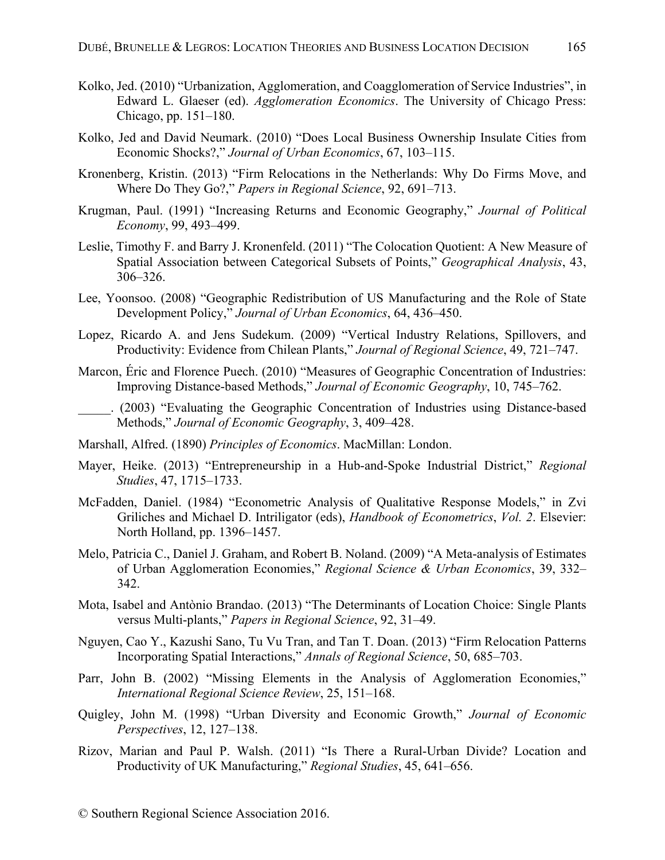- Kolko, Jed. (2010) "Urbanization, Agglomeration, and Coagglomeration of Service Industries", in Edward L. Glaeser (ed). *Agglomeration Economics*. The University of Chicago Press: Chicago, pp. 151–180.
- Kolko, Jed and David Neumark. (2010) "Does Local Business Ownership Insulate Cities from Economic Shocks?," *Journal of Urban Economics*, 67, 103–115.
- Kronenberg, Kristin. (2013) "Firm Relocations in the Netherlands: Why Do Firms Move, and Where Do They Go?," *Papers in Regional Science*, 92, 691–713.
- Krugman, Paul. (1991) "Increasing Returns and Economic Geography," *Journal of Political Economy*, 99, 493–499.
- Leslie, Timothy F. and Barry J. Kronenfeld. (2011) "The Colocation Quotient: A New Measure of Spatial Association between Categorical Subsets of Points," *Geographical Analysis*, 43, 306–326.
- Lee, Yoonsoo. (2008) "Geographic Redistribution of US Manufacturing and the Role of State Development Policy," *Journal of Urban Economics*, 64, 436–450.
- Lopez, Ricardo A. and Jens Sudekum. (2009) "Vertical Industry Relations, Spillovers, and Productivity: Evidence from Chilean Plants," *Journal of Regional Science*, 49, 721–747.
- Marcon, Éric and Florence Puech. (2010) "Measures of Geographic Concentration of Industries: Improving Distance-based Methods," *Journal of Economic Geography*, 10, 745–762.
- \_\_\_\_\_. (2003) "Evaluating the Geographic Concentration of Industries using Distance-based Methods," *Journal of Economic Geography*, 3, 409–428.
- Marshall, Alfred. (1890) *Principles of Economics*. MacMillan: London.
- Mayer, Heike. (2013) "Entrepreneurship in a Hub-and-Spoke Industrial District," *Regional Studies*, 47, 1715–1733.
- McFadden, Daniel. (1984) "Econometric Analysis of Qualitative Response Models," in Zvi Griliches and Michael D. Intriligator (eds), *Handbook of Econometrics*, *Vol. 2*. Elsevier: North Holland, pp. 1396–1457.
- Melo, Patricia C., Daniel J. Graham, and Robert B. Noland. (2009) "A Meta-analysis of Estimates of Urban Agglomeration Economies," *Regional Science & Urban Economics*, 39, 332– 342.
- Mota, Isabel and Antònio Brandao. (2013) "The Determinants of Location Choice: Single Plants versus Multi-plants," *Papers in Regional Science*, 92, 31–49.
- Nguyen, Cao Y., Kazushi Sano, Tu Vu Tran, and Tan T. Doan. (2013) "Firm Relocation Patterns Incorporating Spatial Interactions," *Annals of Regional Science*, 50, 685–703.
- Parr, John B. (2002) "Missing Elements in the Analysis of Agglomeration Economies," *International Regional Science Review*, 25, 151–168.
- Quigley, John M. (1998) "Urban Diversity and Economic Growth," *Journal of Economic Perspectives*, 12, 127–138.
- Rizov, Marian and Paul P. Walsh. (2011) "Is There a Rural-Urban Divide? Location and Productivity of UK Manufacturing," *Regional Studies*, 45, 641–656.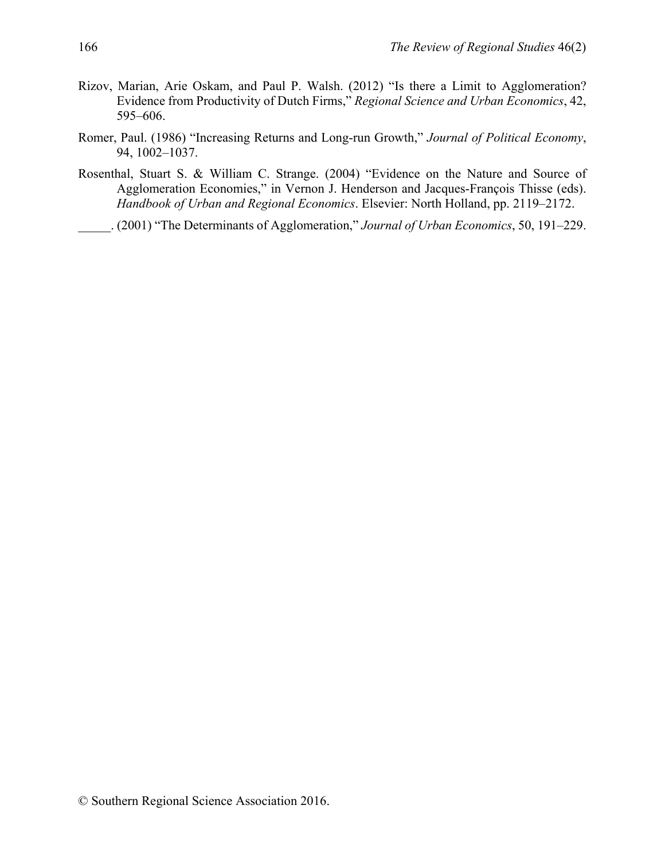- Rizov, Marian, Arie Oskam, and Paul P. Walsh. (2012) "Is there a Limit to Agglomeration? Evidence from Productivity of Dutch Firms," *Regional Science and Urban Economics*, 42, 595–606.
- Romer, Paul. (1986) "Increasing Returns and Long-run Growth," *Journal of Political Economy*, 94, 1002–1037.
- Rosenthal, Stuart S. & William C. Strange. (2004) "Evidence on the Nature and Source of Agglomeration Economies," in Vernon J. Henderson and Jacques-François Thisse (eds). *Handbook of Urban and Regional Economics*. Elsevier: North Holland, pp. 2119–2172.

\_\_\_\_\_. (2001) "The Determinants of Agglomeration," *Journal of Urban Economics*, 50, 191–229.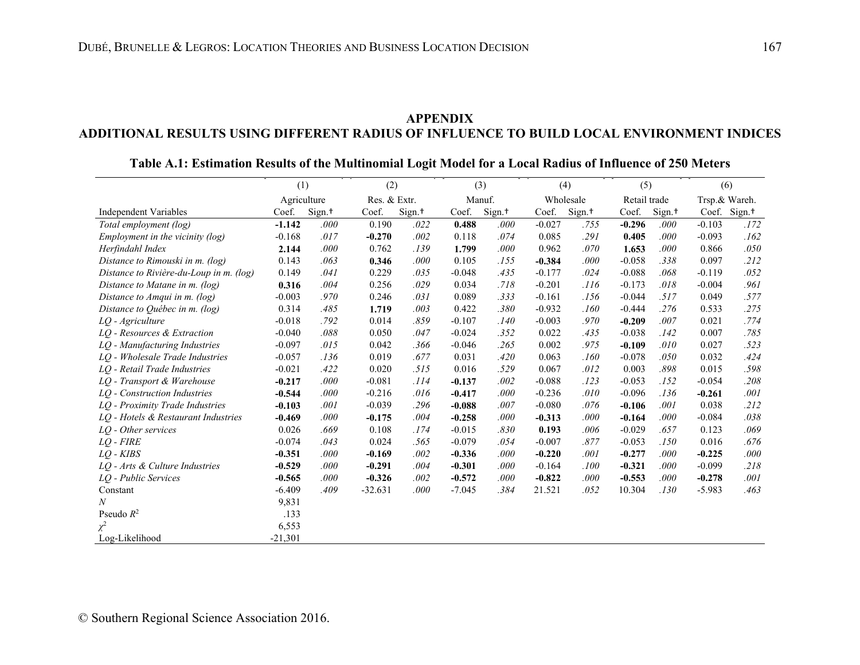### **APPENDIX ADDITIONAL RESULTS USING DIFFERENT RADIUS OF INFLUENCE TO BUILD LOCAL ENVIRONMENT INDICES**

## **Table A.1: Estimation Results of the Multinomial Logit Model for a Local Radius of Influence of 250 Meters**

|                                         | (2)<br>(1)  |                    | (3)          |                    |          | (4)                |          | (5)                |              | (6)                |          |                          |
|-----------------------------------------|-------------|--------------------|--------------|--------------------|----------|--------------------|----------|--------------------|--------------|--------------------|----------|--------------------------|
|                                         | Agriculture |                    | Res. & Extr. |                    |          | Manuf.             |          | Wholesale          | Retail trade |                    |          | Trsp.& Wareh.            |
| <b>Independent Variables</b>            | Coef.       | Sign. <sup>+</sup> | Coef.        | Sign. <sup>+</sup> | Coef.    | Sign. <sup>+</sup> | Coef.    | Sign. <sup>+</sup> | Coef.        | Sign. <sup>+</sup> |          | Coef. Sign. <sup>+</sup> |
| Total employment (log)                  | $-1.142$    | .000               | 0.190        | .022               | 0.488    | .000               | $-0.027$ | .755               | $-0.296$     | .000               | $-0.103$ | .172                     |
| Employment in the vicinity $(log)$      | $-0.168$    | .017               | $-0.270$     | .002               | 0.118    | .074               | 0.085    | .291               | 0.405        | .000               | $-0.093$ | .162                     |
| Herfindahl Index                        | 2.144       | .000               | 0.762        | .139               | 1.799    | .000               | 0.962    | .070               | 1.653        | .000               | 0.866    | .050                     |
| Distance to Rimouski in m. (log)        | 0.143       | .063               | 0.346        | .000               | 0.105    | .155               | $-0.384$ | .000               | $-0.058$     | .338               | 0.097    | .212                     |
| Distance to Rivière-du-Loup in m. (log) | 0.149       | .041               | 0.229        | .035               | $-0.048$ | .435               | $-0.177$ | .024               | $-0.088$     | .068               | $-0.119$ | .052                     |
| Distance to Matane in m. (log)          | 0.316       | .004               | 0.256        | .029               | 0.034    | .718               | $-0.201$ | .116               | $-0.173$     | .018               | $-0.004$ | .961                     |
| Distance to Amqui in m. (log)           | $-0.003$    | .970               | 0.246        | .031               | 0.089    | .333               | $-0.161$ | .156               | $-0.044$     | .517               | 0.049    | .577                     |
| Distance to Québec in m. (log)          | 0.314       | .485               | 1.719        | .003               | 0.422    | .380               | $-0.932$ | .160               | $-0.444$     | .276               | 0.533    | .275                     |
| LQ - Agriculture                        | $-0.018$    | .792               | 0.014        | .859               | $-0.107$ | .140               | $-0.003$ | .970               | $-0.209$     | .007               | 0.021    | .774                     |
| LQ - Resources & Extraction             | $-0.040$    | .088               | 0.050        | .047               | $-0.024$ | .352               | 0.022    | .435               | $-0.038$     | .142               | 0.007    | .785                     |
| LO - Manufacturing Industries           | $-0.097$    | .015               | 0.042        | .366               | $-0.046$ | .265               | 0.002    | .975               | $-0.109$     | .010               | 0.027    | .523                     |
| LQ - Wholesale Trade Industries         | $-0.057$    | .136               | 0.019        | .677               | 0.031    | .420               | 0.063    | .160               | $-0.078$     | .050               | 0.032    | .424                     |
| LO - Retail Trade Industries            | $-0.021$    | .422               | 0.020        | .515               | 0.016    | .529               | 0.067    | .012               | 0.003        | .898               | 0.015    | .598                     |
| LO - Transport & Warehouse              | $-0.217$    | .000               | $-0.081$     | .114               | $-0.137$ | .002               | $-0.088$ | .123               | $-0.053$     | .152               | $-0.054$ | .208                     |
| LQ - Construction Industries            | $-0.544$    | .000               | $-0.216$     | .016               | $-0.417$ | .000               | $-0.236$ | .010               | $-0.096$     | .136               | $-0.261$ | .001                     |
| LQ - Proximity Trade Industries         | $-0.103$    | .001               | $-0.039$     | .296               | $-0.088$ | .007               | $-0.080$ | .076               | $-0.106$     | .001               | 0.038    | .212                     |
| LQ - Hotels & Restaurant Industries     | $-0.469$    | .000               | $-0.175$     | .004               | $-0.258$ | .000               | $-0.313$ | .000               | $-0.164$     | .000               | $-0.084$ | .038                     |
| LQ - Other services                     | 0.026       | .669               | 0.108        | .174               | $-0.015$ | .830               | 0.193    | .006               | $-0.029$     | .657               | 0.123    | .069                     |
| $LO$ - $FIRE$                           | $-0.074$    | .043               | 0.024        | .565               | $-0.079$ | .054               | $-0.007$ | .877               | $-0.053$     | .150               | 0.016    | .676                     |
| $LO$ - $KIBS$                           | $-0.351$    | .000               | $-0.169$     | .002               | $-0.336$ | .000               | $-0.220$ | .001               | $-0.277$     | .000               | $-0.225$ | .000                     |
| LQ - Arts & Culture Industries          | $-0.529$    | .000               | $-0.291$     | .004               | $-0.301$ | .000               | $-0.164$ | .100               | $-0.321$     | .000               | $-0.099$ | .218                     |
| LQ - Public Services                    | $-0.565$    | .000               | $-0.326$     | .002               | $-0.572$ | .000               | $-0.822$ | .000               | $-0.553$     | .000               | $-0.278$ | .001                     |
| Constant                                | $-6.409$    | .409               | $-32.631$    | $.000\,$           | $-7.045$ | .384               | 21.521   | .052               | 10.304       | .130               | $-5.983$ | .463                     |
| $\boldsymbol{N}$                        | 9,831       |                    |              |                    |          |                    |          |                    |              |                    |          |                          |
| Pseudo $R^2$                            | .133        |                    |              |                    |          |                    |          |                    |              |                    |          |                          |
| $\chi^2$                                | 6,553       |                    |              |                    |          |                    |          |                    |              |                    |          |                          |
| Log-Likelihood                          | $-21,301$   |                    |              |                    |          |                    |          |                    |              |                    |          |                          |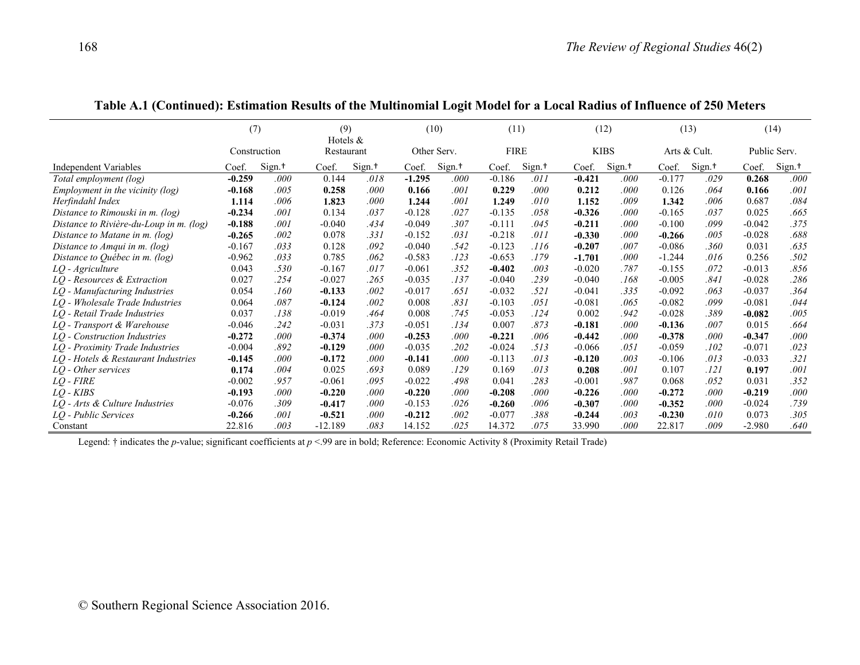|                                         | (7)          |                    | (9)<br>Hotels $&$ |        |          | (10)               | (11)        |                    |          | (12)               |          | (13)               |          | (14)               |
|-----------------------------------------|--------------|--------------------|-------------------|--------|----------|--------------------|-------------|--------------------|----------|--------------------|----------|--------------------|----------|--------------------|
|                                         | Construction |                    | Restaurant        |        |          | Other Serv.        | <b>FIRE</b> |                    |          | <b>KIBS</b>        |          | Arts & Cult.       |          | Public Serv.       |
| <b>Independent Variables</b>            | Coef.        | Sign. <sup>+</sup> | Coef.             | Sign.† | Coef.    | Sign. <sup>+</sup> | Coef.       | Sign. <sup>+</sup> | Coef.    | Sign. <sup>+</sup> | Coef.    | Sign. <sup>+</sup> | Coef.    | Sign. <sup>+</sup> |
| Total employment (log)                  | $-0.259$     | .000               | 0.144             | .018   | $-1.295$ | .000               | $-0.186$    | .011               | $-0.421$ | .000               | $-0.177$ | .029               | 0.268    | .000               |
| Employment in the vicinity $(log)$      | $-0.168$     | .005               | 0.258             | .000   | 0.166    | .001               | 0.229       | .000               | 0.212    | .000               | 0.126    | .064               | 0.166    | .001               |
| Herfindahl Index                        | 1.114        | .006               | 1.823             | .000   | 1.244    | .001               | 1.249       | .010               | 1.152    | .009               | 1.342    | .006               | 0.687    | .084               |
| Distance to Rimouski in m. (log)        | $-0.234$     | .001               | 0.134             | .037   | $-0.128$ | .027               | $-0.135$    | .058               | $-0.326$ | .000               | $-0.165$ | .037               | 0.025    | .665               |
| Distance to Rivière-du-Loup in m. (log) | $-0.188$     | .001               | $-0.040$          | .434   | $-0.049$ | .307               | $-0.111$    | .045               | $-0.211$ | .000               | $-0.100$ | .099               | $-0.042$ | .375               |
| Distance to Matane in m. (log)          | $-0.265$     | .002               | 0.078             | .331   | $-0.152$ | .031               | $-0.218$    | .011               | $-0.330$ | .000               | $-0.266$ | .005               | $-0.028$ | .688               |
| Distance to Amqui in m. (log)           | $-0.167$     | .033               | 0.128             | .092   | $-0.040$ | .542               | $-0.123$    | .116               | $-0.207$ | .007               | $-0.086$ | .360               | 0.031    | .635               |
| Distance to Québec in $m$ . (log)       | $-0.962$     | .033               | 0.785             | .062   | $-0.583$ | .123               | $-0.653$    | .179               | $-1.701$ | .000               | $-1.244$ | .016               | 0.256    | .502               |
| LQ - Agriculture                        | 0.043        | .530               | $-0.167$          | .017   | $-0.061$ | .352               | $-0.402$    | .003               | $-0.020$ | .787               | $-0.155$ | .072               | $-0.013$ | .856               |
| LO - Resources & Extraction             | 0.027        | .254               | $-0.027$          | .265   | $-0.035$ | .137               | $-0.040$    | .239               | $-0.040$ | .168               | $-0.005$ | .841               | $-0.028$ | .286               |
| LQ - Manufacturing Industries           | 0.054        | .160               | $-0.133$          | .002   | $-0.017$ | .651               | $-0.032$    | .521               | $-0.041$ | .335               | $-0.092$ | .063               | $-0.037$ | .364               |
| LO - Wholesale Trade Industries         | 0.064        | .087               | $-0.124$          | .002   | 0.008    | .831               | $-0.103$    | .051               | $-0.081$ | .065               | $-0.082$ | .099               | $-0.081$ | .044               |
| LO - Retail Trade Industries            | 0.037        | .138               | $-0.019$          | .464   | 0.008    | .745               | $-0.053$    | .124               | 0.002    | .942               | $-0.028$ | .389               | $-0.082$ | .005               |
| LQ - Transport & Warehouse              | $-0.046$     | .242               | $-0.031$          | .373   | $-0.051$ | .134               | 0.007       | .873               | $-0.181$ | .000               | $-0.136$ | .007               | 0.015    | .664               |
| LO - Construction Industries            | $-0.272$     | .000               | $-0.374$          | .000   | $-0.253$ | .000               | $-0.221$    | .006               | $-0.442$ | .000               | $-0.378$ | .000               | $-0.347$ | .000               |
| LO - Proximity Trade Industries         | $-0.004$     | .892               | $-0.129$          | .000   | $-0.035$ | .202               | $-0.024$    | .513               | $-0.066$ | .051               | $-0.059$ | .102               | $-0.071$ | .023               |
| LO - Hotels & Restaurant Industries     | $-0.145$     | .000               | $-0.172$          | .000   | $-0.141$ | .000               | $-0.113$    | .013               | $-0.120$ | .003               | $-0.106$ | .013               | $-0.033$ | .321               |
| LQ - Other services                     | 0.174        | .004               | 0.025             | .693   | 0.089    | .129               | 0.169       | .013               | 0.208    | .001               | 0.107    | .121               | 0.197    | .001               |
| $LO$ - $FIRE$                           | $-0.002$     | .957               | $-0.061$          | .095   | $-0.022$ | .498               | 0.041       | .283               | $-0.001$ | .987               | 0.068    | .052               | 0.031    | .352               |
| $LO$ - $KIBS$                           | $-0.193$     | .000               | $-0.220$          | .000   | $-0.220$ | .000               | $-0.208$    | .000               | $-0.226$ | .000               | $-0.272$ | .000               | $-0.219$ | .000               |
| $LQ$ - Arts & Culture Industries        | $-0.076$     | .309               | $-0.417$          | .000   | $-0.153$ | .026               | $-0.260$    | .006               | $-0.307$ | .000               | $-0.352$ | .000               | $-0.024$ | .739               |
| LQ - Public Services                    | $-0.266$     | .001               | $-0.521$          | .000   | $-0.212$ | .002               | $-0.077$    | .388               | $-0.244$ | .003               | $-0.230$ | .010               | 0.073    | .305               |
| Constant                                | 22.816       | .003               | $-12.189$         | .083   | 14.152   | 025                | 14.372      | .075               | 33.990   | .000               | 22.817   | .009               | $-2.980$ | .640               |

|  |  |  |  |  |  | Table A.1 (Continued): Estimation Results of the Multinomial Logit Model for a Local Radius of Influence of 250 Meters |
|--|--|--|--|--|--|------------------------------------------------------------------------------------------------------------------------|
|--|--|--|--|--|--|------------------------------------------------------------------------------------------------------------------------|

Legend: † indicates the *p*-value; significant coefficients at *p* <.99 are in bold; Reference: Economic Activity 8 (Proximity Retail Trade)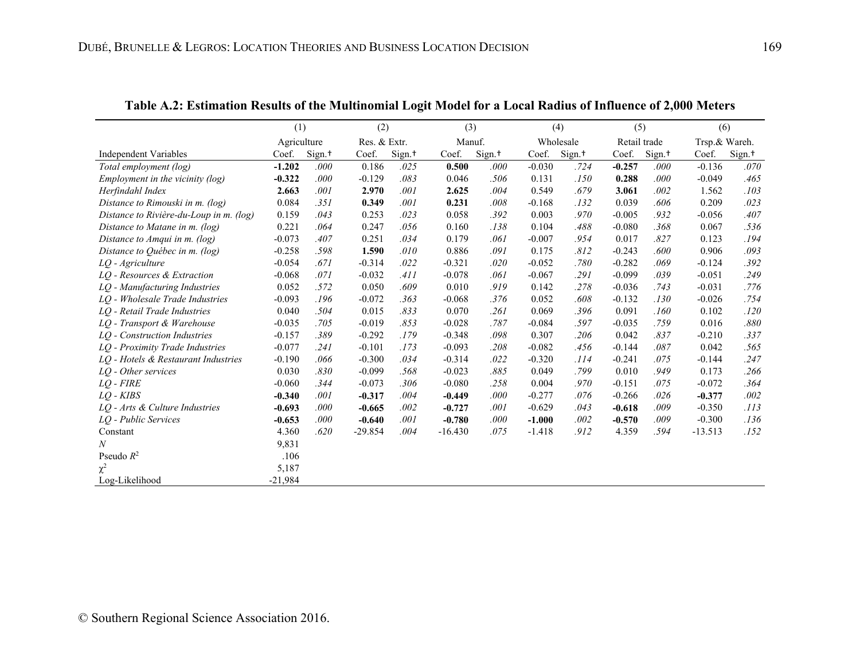|                                         | (1)         |                    | (2)          |                    | (3)       |                    | (4)      |                    | (5)          |                    | (6)           |                    |
|-----------------------------------------|-------------|--------------------|--------------|--------------------|-----------|--------------------|----------|--------------------|--------------|--------------------|---------------|--------------------|
|                                         | Agriculture |                    | Res. & Extr. |                    | Manuf.    |                    |          | Wholesale          | Retail trade |                    | Trsp.& Wareh. |                    |
| <b>Independent Variables</b>            | Coef.       | Sign. <sup>+</sup> | Coef.        | Sign. <sup>+</sup> | Coef.     | Sign. <sup>+</sup> | Coef.    | Sign. <sup>+</sup> | Coef.        | Sign. <sup>+</sup> | Coef.         | Sign. <sup>+</sup> |
| Total employment (log)                  | $-1.202$    | .000               | 0.186        | .025               | 0.500     | .000               | $-0.030$ | .724               | $-0.257$     | .000               | $-0.136$      | .070               |
| Employment in the vicinity $(log)$      | $-0.322$    | .000               | $-0.129$     | .083               | 0.046     | .506               | 0.131    | .150               | 0.288        | .000               | $-0.049$      | .465               |
| Herfindahl Index                        | 2.663       | .001               | 2.970        | .001               | 2.625     | .004               | 0.549    | .679               | 3.061        | .002               | 1.562         | .103               |
| Distance to Rimouski in m. (log)        | 0.084       | .351               | 0.349        | .001               | 0.231     | .008               | $-0.168$ | .132               | 0.039        | .606               | 0.209         | .023               |
| Distance to Rivière-du-Loup in m. (log) | 0.159       | .043               | 0.253        | .023               | 0.058     | .392               | 0.003    | .970               | $-0.005$     | .932               | $-0.056$      | .407               |
| Distance to Matane in m. (log)          | 0.221       | .064               | 0.247        | .056               | 0.160     | .138               | 0.104    | .488               | $-0.080$     | .368               | 0.067         | .536               |
| Distance to Amqui in m. (log)           | $-0.073$    | .407               | 0.251        | .034               | 0.179     | .061               | $-0.007$ | .954               | 0.017        | .827               | 0.123         | .194               |
| Distance to Québec in m. (log)          | $-0.258$    | .598               | 1.590        | .010               | 0.886     | .091               | 0.175    | .812               | $-0.243$     | .600               | 0.906         | .093               |
| LQ - Agriculture                        | $-0.054$    | .671               | $-0.314$     | .022               | $-0.321$  | .020               | $-0.052$ | .780               | $-0.282$     | .069               | $-0.124$      | .392               |
| LQ - Resources & Extraction             | $-0.068$    | .071               | $-0.032$     | .411               | $-0.078$  | .061               | $-0.067$ | .291               | $-0.099$     | .039               | $-0.051$      | .249               |
| LQ - Manufacturing Industries           | 0.052       | .572               | 0.050        | .609               | 0.010     | .919               | 0.142    | .278               | $-0.036$     | .743               | $-0.031$      | .776               |
| LO - Wholesale Trade Industries         | $-0.093$    | .196               | $-0.072$     | .363               | $-0.068$  | .376               | 0.052    | .608               | $-0.132$     | .130               | $-0.026$      | .754               |
| LO - Retail Trade Industries            | 0.040       | .504               | 0.015        | .833               | 0.070     | .261               | 0.069    | .396               | 0.091        | .160               | 0.102         | .120               |
| LQ - Transport & Warehouse              | $-0.035$    | .705               | $-0.019$     | .853               | $-0.028$  | .787               | $-0.084$ | .597               | $-0.035$     | .759               | 0.016         | .880               |
| LQ - Construction Industries            | $-0.157$    | .389               | $-0.292$     | .179               | $-0.348$  | .098               | 0.307    | .206               | 0.042        | .837               | $-0.210$      | .337               |
| LQ - Proximity Trade Industries         | $-0.077$    | .241               | $-0.101$     | .173               | $-0.093$  | .208               | $-0.082$ | .456               | $-0.144$     | .087               | 0.042         | .565               |
| LQ - Hotels & Restaurant Industries     | $-0.190$    | .066               | $-0.300$     | .034               | $-0.314$  | .022               | $-0.320$ | .114               | $-0.241$     | .075               | $-0.144$      | .247               |
| LO - Other services                     | 0.030       | .830               | $-0.099$     | .568               | $-0.023$  | .885               | 0.049    | .799               | 0.010        | .949               | 0.173         | .266               |
| $LO$ - $FIRE$                           | $-0.060$    | .344               | $-0.073$     | .306               | $-0.080$  | .258               | 0.004    | .970               | $-0.151$     | .075               | $-0.072$      | .364               |
| $LO$ - $KIBS$                           | $-0.340$    | .001               | $-0.317$     | .004               | $-0.449$  | .000               | $-0.277$ | .076               | $-0.266$     | .026               | $-0.377$      | .002               |
| LO - Arts & Culture Industries          | $-0.693$    | .000               | $-0.665$     | .002               | $-0.727$  | .001               | $-0.629$ | .043               | $-0.618$     | .009               | $-0.350$      | .113               |
| LO - Public Services                    | $-0.653$    | .000               | $-0.640$     | .001               | $-0.780$  | .000               | $-1.000$ | .002               | $-0.570$     | .009               | $-0.300$      | .136               |
| Constant                                | 4.360       | .620               | $-29.854$    | .004               | $-16.430$ | .075               | $-1.418$ | .912               | 4.359        | .594               | $-13.513$     | .152               |
| N                                       | 9,831       |                    |              |                    |           |                    |          |                    |              |                    |               |                    |
| Pseudo $R^2$                            | .106        |                    |              |                    |           |                    |          |                    |              |                    |               |                    |
| $\chi^2$                                | 5,187       |                    |              |                    |           |                    |          |                    |              |                    |               |                    |
| Log-Likelihood                          | $-21,984$   |                    |              |                    |           |                    |          |                    |              |                    |               |                    |

**Table A.2: Estimation Results of the Multinomial Logit Model for a Local Radius of Influence of 2,000 Meters**